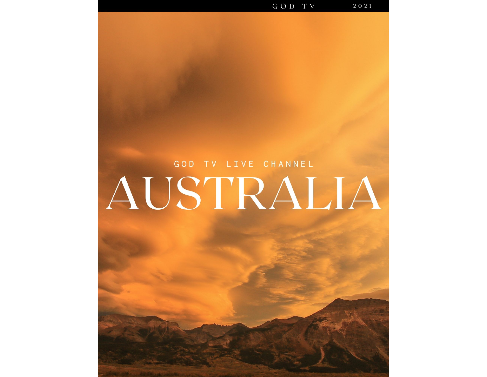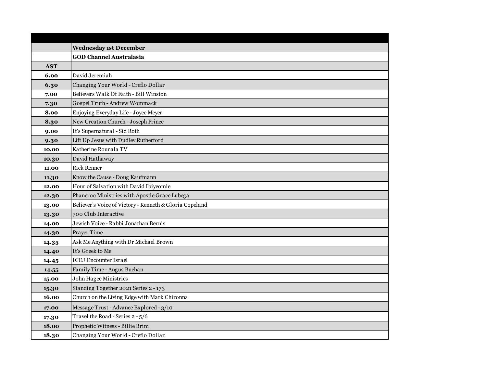|            | <b>Wednesday 1st December</b>                           |
|------------|---------------------------------------------------------|
|            | <b>GOD Channel Australasia</b>                          |
| <b>AST</b> |                                                         |
| 6.00       | David Jeremiah                                          |
| 6.30       | Changing Your World - Creflo Dollar                     |
| 7.00       | Believers Walk Of Faith - Bill Winston                  |
| 7.30       | Gospel Truth - Andrew Wommack                           |
| 8.00       | Enjoying Everyday Life - Joyce Meyer                    |
| 8.30       | New Creation Church - Joseph Prince                     |
| 9.00       | It's Supernatural - Sid Roth                            |
| 9.30       | Lift Up Jesus with Dudley Rutherford                    |
| 10.00      | Katherine Rounala TV                                    |
| 10.30      | David Hathaway                                          |
| 11.00      | <b>Rick Renner</b>                                      |
| 11.30      | Know the Cause - Doug Kaufmann                          |
| 12.00      | Hour of Salvation with David Ibiyeomie                  |
| 12.30      | Phaneroo Ministries with Apostle Grace Lubega           |
| 13.00      | Believer's Voice of Victory - Kenneth & Gloria Copeland |
| 13.30      | 700 Club Interactive                                    |
| 14.00      | Jewish Voice - Rabbi Jonathan Bernis                    |
| 14.30      | Prayer Time                                             |
| 14.35      | Ask Me Anything with Dr Michael Brown                   |
| 14.40      | It's Greek to Me                                        |
| 14.45      | <b>ICEJ</b> Encounter Israel                            |
| 14.55      | Family Time - Angus Buchan                              |
| 15.00      | <b>John Hagee Ministries</b>                            |
| 15.30      | Standing Together 2021 Series 2 - 173                   |
| 16.00      | Church on the Living Edge with Mark Chironna            |
| 17.00      | Message Trust - Advance Explored - 3/10                 |
| 17.30      | Travel the Road - Series 2 - 5/6                        |
| 18.00      | Prophetic Witness - Billie Brim                         |
| 18.30      | Changing Your World - Creflo Dollar                     |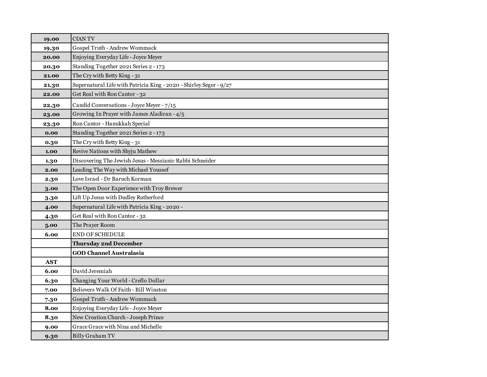| 19.00      | <b>CfANTV</b>                                                      |
|------------|--------------------------------------------------------------------|
| 19.30      | Gospel Truth - Andrew Wommack                                      |
| 20.00      | Enjoying Everyday Life - Joyce Meyer                               |
| 20.30      | Standing Together 2021 Series 2 - 173                              |
| 21.00      | The Cry with Betty King - 31                                       |
| 21.30      | Supernatural Life with Patricia King - 2020 - Shirley Seger - 9/27 |
| 22.00      | Get Real with Ron Cantor - 32                                      |
| 22.30      | Candid Conversations - Joyce Meyer - 7/15                          |
| 23.00      | Growing In Prayer with James Aladiran - 4/5                        |
| 23.30      | Ron Cantor - Hanukkah Special                                      |
| 0.00       | Standing Together 2021 Series 2 - 173                              |
| 0.30       | The Cry with Betty King - 31                                       |
| 1.00       | Revive Nations with Shyju Mathew                                   |
| 1.30       | Discovering The Jewish Jesus - Messianic Rabbi Schneider           |
| 2.00       | Leading The Way with Michael Youssef                               |
| 2.30       | Love Israel - Dr Baruch Korman                                     |
| 3.00       | The Open Door Experience with Troy Brewer                          |
| 3.30       | Lift Up Jesus with Dudley Rutherford                               |
| 4.00       | Supernatural Life with Patricia King - 2020 -                      |
| 4.30       | Get Real with Ron Cantor - 32                                      |
| 5.00       | The Prayer Room                                                    |
| 6.00       | <b>END OF SCHEDULE</b>                                             |
|            | <b>Thursday 2nd December</b>                                       |
|            | <b>GOD Channel Australasia</b>                                     |
| <b>AST</b> |                                                                    |
| 6.00       | David Jeremiah                                                     |
| 6.30       | Changing Your World - Creflo Dollar                                |
| 7.00       | Believers Walk Of Faith - Bill Winston                             |
| 7.30       | Gospel Truth - Andrew Wommack                                      |
| 8.00       | Enjoying Everyday Life - Joyce Meyer                               |
| 8.30       | New Creation Church - Joseph Prince                                |
| 9.00       | Grace Grace with Nina and Michelle                                 |
| 9.30       | <b>Billy Graham TV</b>                                             |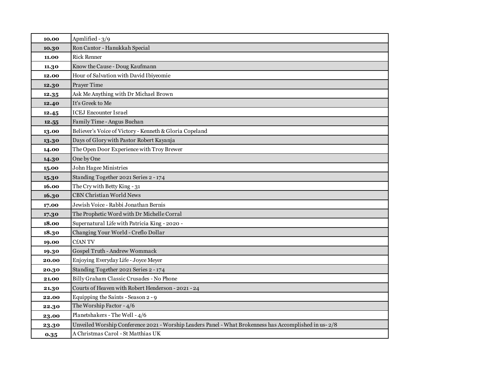| 10.00 | Apmlified - 3/9                                                                                        |
|-------|--------------------------------------------------------------------------------------------------------|
| 10.30 | Ron Cantor - Hanukkah Special                                                                          |
| 11.00 | <b>Rick Renner</b>                                                                                     |
| 11.30 | Know the Cause - Doug Kaufmann                                                                         |
| 12.00 | Hour of Salvation with David Ibiyeomie                                                                 |
| 12.30 | Prayer Time                                                                                            |
| 12.35 | Ask Me Anything with Dr Michael Brown                                                                  |
| 12.40 | It's Greek to Me                                                                                       |
| 12.45 | <b>ICEJ</b> Encounter Israel                                                                           |
| 12.55 | Family Time - Angus Buchan                                                                             |
| 13.00 | Believer's Voice of Victory - Kenneth & Gloria Copeland                                                |
| 13.30 | Days of Glory with Pastor Robert Kayanja                                                               |
| 14.00 | The Open Door Experience with Troy Brewer                                                              |
| 14.30 | One by One                                                                                             |
| 15.00 | John Hagee Ministries                                                                                  |
| 15.30 | Standing Together 2021 Series 2 - 174                                                                  |
| 16.00 | The Cry with Betty King - 31                                                                           |
| 16.30 | <b>CBN Christian World News</b>                                                                        |
| 17.00 | Jewish Voice - Rabbi Jonathan Bernis                                                                   |
| 17.30 | The Prophetic Word with Dr Michelle Corral                                                             |
| 18.00 | Supernatural Life with Patricia King - 2020 -                                                          |
| 18.30 | Changing Your World - Creflo Dollar                                                                    |
| 19.00 | <b>CfANTV</b>                                                                                          |
| 19.30 | Gospel Truth - Andrew Wommack                                                                          |
| 20.00 | Enjoying Everyday Life - Joyce Meyer                                                                   |
| 20.30 | Standing Together 2021 Series 2 - 174                                                                  |
| 21.00 | Billy Graham Classic Crusades - No Phone                                                               |
| 21.30 | Courts of Heaven with Robert Henderson - 2021 - 24                                                     |
| 22.00 | Equipping the Saints - Season 2 - 9                                                                    |
| 22.30 | The Worship Factor - 4/6                                                                               |
| 23.00 | Planetshakers - The Well - 4/6                                                                         |
| 23.30 | Unveiled Worship Conference 2021 - Worship Leaders Panel - What Brokenness has Accomplished in us- 2/8 |
| 0.35  | A Christmas Carol - St Matthias UK                                                                     |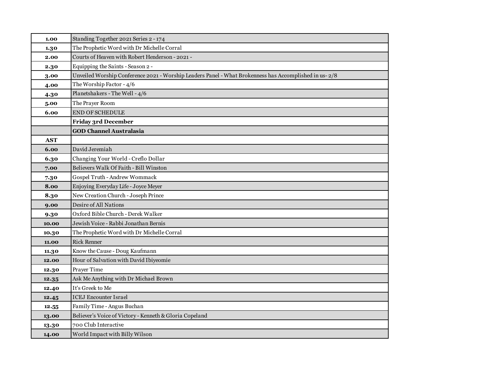| 1.00       | Standing Together 2021 Series 2 - 174                                                                  |
|------------|--------------------------------------------------------------------------------------------------------|
| 1.30       | The Prophetic Word with Dr Michelle Corral                                                             |
| 2.00       | Courts of Heaven with Robert Henderson - 2021 -                                                        |
| 2.30       | Equipping the Saints - Season 2 -                                                                      |
| 3.00       | Unveiled Worship Conference 2021 - Worship Leaders Panel - What Brokenness has Accomplished in us- 2/8 |
| 4.00       | The Worship Factor - 4/6                                                                               |
| 4.30       | Planetshakers - The Well - 4/6                                                                         |
| 5.00       | The Prayer Room                                                                                        |
| 6.00       | <b>END OF SCHEDULE</b>                                                                                 |
|            | Friday 3rd December                                                                                    |
|            | <b>GOD Channel Australasia</b>                                                                         |
| <b>AST</b> |                                                                                                        |
| 6.00       | David Jeremiah                                                                                         |
| 6.30       | Changing Your World - Creflo Dollar                                                                    |
| 7.00       | Believers Walk Of Faith - Bill Winston                                                                 |
| 7.30       | Gospel Truth - Andrew Wommack                                                                          |
| 8.00       | Enjoying Everyday Life - Joyce Meyer                                                                   |
| 8.30       | New Creation Church - Joseph Prince                                                                    |
| 9.00       | Desire of All Nations                                                                                  |
| 9.30       | Oxford Bible Church - Derek Walker                                                                     |
| 10.00      | Jewish Voice - Rabbi Jonathan Bernis                                                                   |
| 10.30      | The Prophetic Word with Dr Michelle Corral                                                             |
| 11.00      | <b>Rick Renner</b>                                                                                     |
| 11.30      | Know the Cause - Doug Kaufmann                                                                         |
| 12.00      | Hour of Salvation with David Ibiyeomie                                                                 |
| 12.30      | Prayer Time                                                                                            |
| 12.35      | Ask Me Anything with Dr Michael Brown                                                                  |
| 12.40      | It's Greek to Me                                                                                       |
| 12.45      | <b>ICEJ Encounter Israel</b>                                                                           |
| 12.55      | Family Time - Angus Buchan                                                                             |
| 13.00      | Believer's Voice of Victory - Kenneth & Gloria Copeland                                                |
| 13.30      | 700 Club Interactive                                                                                   |
| 14.00      | World Impact with Billy Wilson                                                                         |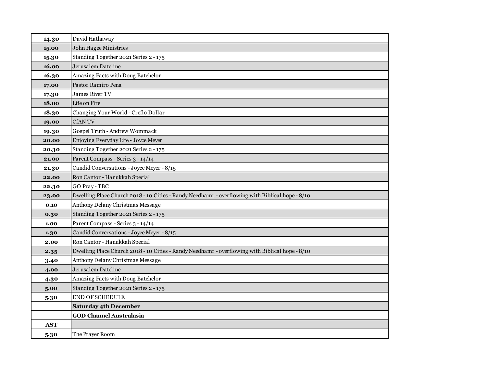| 14.30      | David Hathaway                                                                                  |
|------------|-------------------------------------------------------------------------------------------------|
| 15.00      | John Hagee Ministries                                                                           |
| 15.30      | Standing Together 2021 Series 2 - 175                                                           |
| 16.00      | Jerusalem Dateline                                                                              |
| 16.30      | Amazing Facts with Doug Batchelor                                                               |
| 17.00      | Pastor Ramiro Pena                                                                              |
| 17.30      | James River TV                                                                                  |
| 18.00      | Life on Fire                                                                                    |
| 18.30      | Changing Your World - Creflo Dollar                                                             |
| 19.00      | <b>CfANTV</b>                                                                                   |
| 19.30      | Gospel Truth - Andrew Wommack                                                                   |
| 20.00      | Enjoying Everyday Life - Joyce Meyer                                                            |
| 20.30      | Standing Together 2021 Series 2 - 175                                                           |
| 21.00      | Parent Compass - Series 3 - 14/14                                                               |
| 21.30      | Candid Conversations - Joyce Meyer - 8/15                                                       |
| 22.00      | Ron Cantor - Hanukkah Special                                                                   |
| 22.30      | GO Pray-TBC                                                                                     |
| 23.00      | Dwelling Place Church 2018 - 10 Cities - Randy Needhamr - overflowing with Biblical hope - 8/10 |
| 0.10       | Anthony Delany Christmas Message                                                                |
| 0.30       | Standing Together 2021 Series 2 - 175                                                           |
| 1.00       | Parent Compass - Series 3 - 14/14                                                               |
| 1.30       | Candid Conversations - Joyce Meyer - 8/15                                                       |
| 2.00       | Ron Cantor - Hanukkah Special                                                                   |
| 2.35       | Dwelling Place Church 2018 - 10 Cities - Randy Needhamr - overflowing with Biblical hope - 8/10 |
| 3.40       | Anthony Delany Christmas Message                                                                |
| 4.00       | Jerusalem Dateline                                                                              |
| 4.30       | Amazing Facts with Doug Batchelor                                                               |
| 5.00       | Standing Together 2021 Series 2 - 175                                                           |
| 5.30       | END OF SCHEDULE                                                                                 |
|            | <b>Saturday 4th December</b>                                                                    |
|            | <b>GOD Channel Australasia</b>                                                                  |
| <b>AST</b> |                                                                                                 |
| 5.30       | The Prayer Room                                                                                 |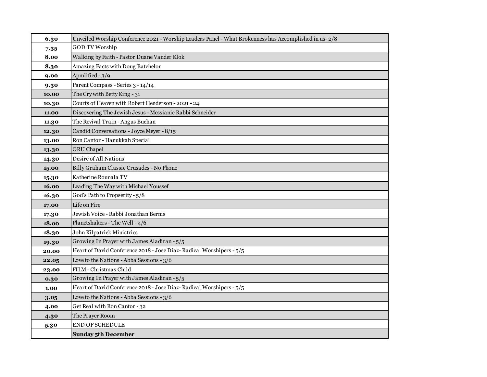| 6.30  | Unveiled Worship Conference 2021 - Worship Leaders Panel - What Brokenness has Accomplished in us- 2/8 |
|-------|--------------------------------------------------------------------------------------------------------|
| 7.35  | <b>GOD TV Worship</b>                                                                                  |
| 8.00  | Walking by Faith - Pastor Duane Vander Klok                                                            |
| 8.30  | Amazing Facts with Doug Batchelor                                                                      |
| 9.00  | Apmlified - 3/9                                                                                        |
| 9.30  | Parent Compass - Series 3 - 14/14                                                                      |
| 10.00 | The Cry with Betty King - 31                                                                           |
| 10.30 | Courts of Heaven with Robert Henderson - 2021 - 24                                                     |
| 11.00 | Discovering The Jewish Jesus - Messianic Rabbi Schneider                                               |
| 11.30 | The Revival Train - Angus Buchan                                                                       |
| 12.30 | Candid Conversations - Joyce Meyer - 8/15                                                              |
| 13.00 | Ron Cantor - Hanukkah Special                                                                          |
| 13.30 | ORU Chapel                                                                                             |
| 14.30 | Desire of All Nations                                                                                  |
| 15.00 | Billy Graham Classic Crusades - No Phone                                                               |
| 15.30 | Katherine Rounala TV                                                                                   |
| 16.00 | Leading The Way with Michael Youssef                                                                   |
| 16.30 | God's Path to Propserity - 5/8                                                                         |
| 17.00 | Life on Fire                                                                                           |
| 17.30 | Jewish Voice - Rabbi Jonathan Bernis                                                                   |
| 18.00 | Planetshakers - The Well - 4/6                                                                         |
| 18.30 | John Kilpatrick Ministries                                                                             |
| 19.30 | Growing In Prayer with James Aladiran - 5/5                                                            |
| 20.00 | Heart of David Conference 2018 - Jose Diaz-Radical Worshipers - 5/5                                    |
| 22.05 | Love to the Nations - Abba Sessions - 3/6                                                              |
| 23.00 | FILM - Christmas Child                                                                                 |
| 0.30  | Growing In Prayer with James Aladiran - 5/5                                                            |
| 1.00  | Heart of David Conference 2018 - Jose Diaz-Radical Worshipers - 5/5                                    |
| 3.05  | Love to the Nations - Abba Sessions - 3/6                                                              |
| 4.00  | Get Real with Ron Cantor - 32                                                                          |
| 4.30  | The Prayer Room                                                                                        |
| 5.30  | END OF SCHEDULE                                                                                        |
|       | <b>Sunday 5th December</b>                                                                             |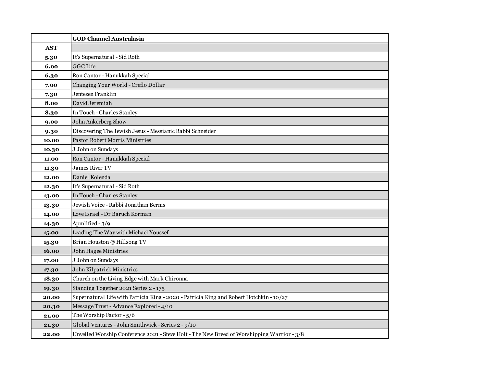|       | <b>GOD Channel Australasia</b>                                                             |
|-------|--------------------------------------------------------------------------------------------|
| AST   |                                                                                            |
| 5.30  | It's Supernatural - Sid Roth                                                               |
| 6.00  | <b>GGC</b> Life                                                                            |
| 6.30  | Ron Cantor - Hanukkah Special                                                              |
| 7.00  | Changing Your World - Creflo Dollar                                                        |
| 7.30  | Jentezen Franklin                                                                          |
| 8.00  | David Jeremiah                                                                             |
| 8.30  | In Touch - Charles Stanley                                                                 |
| 9.00  | John Ankerberg Show                                                                        |
| 9.30  | Discovering The Jewish Jesus - Messianic Rabbi Schneider                                   |
| 10.00 | Pastor Robert Morris Ministries                                                            |
| 10.30 | J John on Sundays                                                                          |
| 11.00 | Ron Cantor - Hanukkah Special                                                              |
| 11.30 | <b>James River TV</b>                                                                      |
| 12.00 | Daniel Kolenda                                                                             |
| 12.30 | It's Supernatural - Sid Roth                                                               |
| 13.00 | In Touch - Charles Stanley                                                                 |
| 13.30 | Jewish Voice - Rabbi Jonathan Bernis                                                       |
| 14.00 | Love Israel - Dr Baruch Korman                                                             |
| 14.30 | Apmlified - 3/9                                                                            |
| 15.00 | Leading The Way with Michael Youssef                                                       |
| 15.30 | Brian Houston @ Hillsong TV                                                                |
| 16.00 | John Hagee Ministries                                                                      |
| 17.00 | J John on Sundays                                                                          |
| 17.30 | John Kilpatrick Ministries                                                                 |
| 18.30 | Church on the Living Edge with Mark Chironna                                               |
| 19.30 | Standing Together 2021 Series 2 - 175                                                      |
| 20.00 | Supernatural Life with Patricia King - 2020 - Patricia King and Robert Hotchkin - 10/27    |
| 20.30 | Message Trust - Advance Explored - 4/10                                                    |
| 21.00 | The Worship Factor - 5/6                                                                   |
| 21.30 | Global Ventures - John Smithwick - Series 2 - 9/10                                         |
| 22.00 | Unveiled Worship Conference 2021 - Steve Holt - The New Breed of Worshipping Warrior - 3/8 |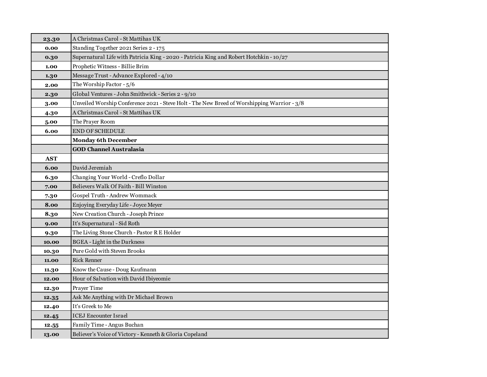| 23.30      | A Christmas Carol - St Mattihas UK                                                         |
|------------|--------------------------------------------------------------------------------------------|
| 0.00       | Standing Together 2021 Series 2 - 175                                                      |
| 0.30       | Supernatural Life with Patricia King - 2020 - Patricia King and Robert Hotchkin - 10/27    |
| 1.00       | Prophetic Witness - Billie Brim                                                            |
| 1.30       | Message Trust - Advance Explored - 4/10                                                    |
| 2.00       | The Worship Factor - 5/6                                                                   |
| 2.30       | Global Ventures - John Smithwick - Series 2 - 9/10                                         |
| 3.00       | Unveiled Worship Conference 2021 - Steve Holt - The New Breed of Worshipping Warrior - 3/8 |
| 4.30       | A Christmas Carol - St Mattihas UK                                                         |
| 5.00       | The Prayer Room                                                                            |
| 6.00       | <b>END OF SCHEDULE</b>                                                                     |
|            | <b>Monday 6th December</b>                                                                 |
|            | <b>GOD Channel Australasia</b>                                                             |
| <b>AST</b> |                                                                                            |
| 6.00       | David Jeremiah                                                                             |
| 6.30       | Changing Your World - Creflo Dollar                                                        |
| 7.00       | Believers Walk Of Faith - Bill Winston                                                     |
| 7.30       | Gospel Truth - Andrew Wommack                                                              |
| 8.00       | Enjoying Everyday Life - Joyce Meyer                                                       |
| 8.30       | New Creation Church - Joseph Prince                                                        |
| 9.00       | It's Supernatural - Sid Roth                                                               |
| 9.30       | The Living Stone Church - Pastor R E Holder                                                |
| 10.00      | <b>BGEA</b> - Light in the Darkness                                                        |
| 10.30      | Pure Gold with Steven Brooks                                                               |
| 11.00      | <b>Rick Renner</b>                                                                         |
| 11.30      | Know the Cause - Doug Kaufmann                                                             |
| 12.00      | Hour of Salvation with David Ibiyeomie                                                     |
| 12.30      | Prayer Time                                                                                |
| 12.35      | Ask Me Anything with Dr Michael Brown                                                      |
| 12.40      | It's Greek to Me                                                                           |
| 12.45      | <b>ICEJ Encounter Israel</b>                                                               |
| 12.55      | Family Time - Angus Buchan                                                                 |
| 13.00      | Believer's Voice of Victory - Kenneth & Gloria Copeland                                    |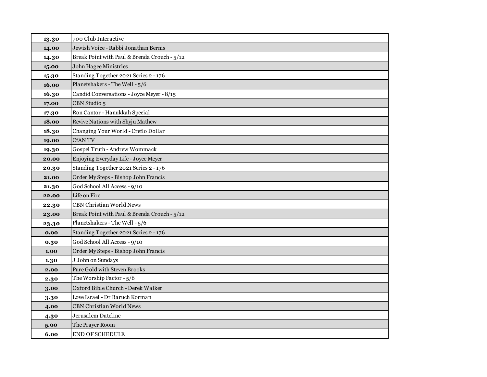| 13.30 | 700 Club Interactive                         |
|-------|----------------------------------------------|
| 14.00 | Jewish Voice - Rabbi Jonathan Bernis         |
| 14.30 | Break Point with Paul & Brenda Crouch - 5/12 |
| 15.00 | John Hagee Ministries                        |
| 15.30 | Standing Together 2021 Series 2 - 176        |
| 16.00 | Planetshakers - The Well - 5/6               |
| 16.30 | Candid Conversations - Joyce Meyer - 8/15    |
| 17.00 | CBN Studio 5                                 |
| 17.30 | Ron Cantor - Hanukkah Special                |
| 18.00 | Revive Nations with Shyju Mathew             |
| 18.30 | Changing Your World - Creflo Dollar          |
| 19.00 | CfAN TV                                      |
| 19.30 | Gospel Truth - Andrew Wommack                |
| 20.00 | Enjoying Everyday Life - Joyce Meyer         |
| 20.30 | Standing Together 2021 Series 2 - 176        |
| 21.00 | Order My Steps - Bishop John Francis         |
| 21.30 | God School All Access - 9/10                 |
| 22.00 | Life on Fire                                 |
| 22.30 | <b>CBN Christian World News</b>              |
| 23.00 | Break Point with Paul & Brenda Crouch - 5/12 |
| 23.30 | Planetshakers - The Well - 5/6               |
| 0.00  | Standing Together 2021 Series 2 - 176        |
| 0.30  | God School All Access - 9/10                 |
| 1.00  | Order My Steps - Bishop John Francis         |
| 1.30  | J John on Sundays                            |
| 2.00  | Pure Gold with Steven Brooks                 |
| 2.30  | The Worship Factor - 5/6                     |
| 3.00  | Oxford Bible Church - Derek Walker           |
| 3.30  | Love Israel - Dr Baruch Korman               |
| 4.00  | <b>CBN Christian World News</b>              |
| 4.30  | Jerusalem Dateline                           |
| 5.00  | The Prayer Room                              |
| 6.00  | <b>END OF SCHEDULE</b>                       |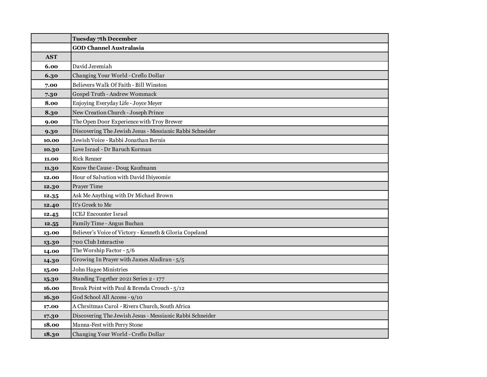|            | <b>Tuesday 7th December</b>                              |
|------------|----------------------------------------------------------|
|            | <b>GOD Channel Australasia</b>                           |
| <b>AST</b> |                                                          |
| 6.00       | David Jeremiah                                           |
| 6.30       | Changing Your World - Creflo Dollar                      |
| 7.00       | Believers Walk Of Faith - Bill Winston                   |
| 7.30       | Gospel Truth - Andrew Wommack                            |
| 8.00       | Enjoying Everyday Life - Joyce Meyer                     |
| 8.30       | New Creation Church - Joseph Prince                      |
| 9.00       | The Open Door Experience with Troy Brewer                |
| 9.30       | Discovering The Jewish Jesus - Messianic Rabbi Schneider |
| 10.00      | Jewish Voice - Rabbi Jonathan Bernis                     |
| 10.30      | Love Israel - Dr Baruch Korman                           |
| 11.00      | <b>Rick Renner</b>                                       |
| 11.30      | Know the Cause - Doug Kaufmann                           |
| 12.00      | Hour of Salvation with David Ibiyeomie                   |
| 12.30      | Prayer Time                                              |
| 12.35      | Ask Me Anything with Dr Michael Brown                    |
| 12.40      | It's Greek to Me                                         |
| 12.45      | <b>ICEJ Encounter Israel</b>                             |
| 12.55      | Family Time - Angus Buchan                               |
| 13.00      | Believer's Voice of Victory - Kenneth & Gloria Copeland  |
| 13.30      | 700 Club Interactive                                     |
| 14.00      | The Worship Factor - 5/6                                 |
| 14.30      | Growing In Prayer with James Aladiran - 5/5              |
| 15.00      | John Hagee Ministries                                    |
| 15.30      | Standing Together 2021 Series 2 - 177                    |
| 16.00      | Break Point with Paul & Brenda Crouch - 5/12             |
| 16.30      | God School All Access - 9/10                             |
| 17.00      | A Chrsitmas Carol - Rivers Church, South Africa          |
| 17.30      | Discovering The Jewish Jesus - Messianic Rabbi Schneider |
| 18.00      | Manna-Fest with Perry Stone                              |
| 18.30      | Changing Your World - Creflo Dollar                      |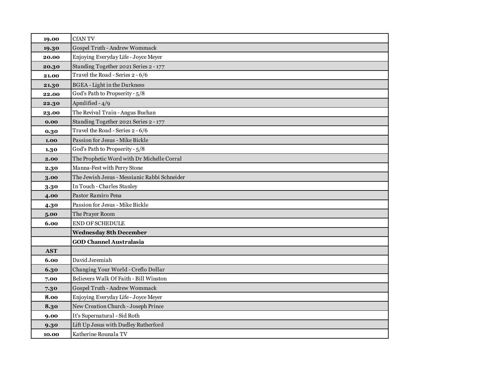| 19.00      | <b>CfANTV</b>                                |
|------------|----------------------------------------------|
| 19.30      | Gospel Truth - Andrew Wommack                |
| 20.00      | Enjoying Everyday Life - Joyce Meyer         |
| 20.30      | Standing Together 2021 Series 2 - 177        |
| 21.00      | Travel the Road - Series 2 - 6/6             |
| 21.30      | <b>BGEA</b> - Light in the Darkness          |
| 22.00      | God's Path to Propserity - 5/8               |
| 22.30      | Apmlified - 4/9                              |
| 23.00      | The Revival Train - Angus Buchan             |
| 0.00       | Standing Together 2021 Series 2 - 177        |
| 0.30       | Travel the Road - Series 2 - 6/6             |
| 1.00       | Passion for Jesus - Mike Bickle              |
| 1.30       | God's Path to Propserity - 5/8               |
| 2.00       | The Prophetic Word with Dr Michelle Corral   |
| 2.30       | Manna-Fest with Perry Stone                  |
| 3.00       | The Jewish Jesus - Messianic Rabbi Schneider |
| 3.30       | In Touch - Charles Stanley                   |
| 4.00       | Pastor Ramiro Pena                           |
| 4.30       | Passion for Jesus - Mike Bickle              |
| 5.00       | The Prayer Room                              |
| 6.00       | <b>END OF SCHEDULE</b>                       |
|            | <b>Wednesday 8th December</b>                |
|            | <b>GOD Channel Australasia</b>               |
| <b>AST</b> |                                              |
| 6.00       | David Jeremiah                               |
| 6.30       | Changing Your World - Creflo Dollar          |
| 7.00       | Believers Walk Of Faith - Bill Winston       |
| 7.30       | Gospel Truth - Andrew Wommack                |
| 8.00       | Enjoying Everyday Life - Joyce Meyer         |
| 8.30       | New Creation Church - Joseph Prince          |
| 9.00       | It's Supernatural - Sid Roth                 |
| 9.30       | Lift Up Jesus with Dudley Rutherford         |
| 10.00      | Katherine Rounala TV                         |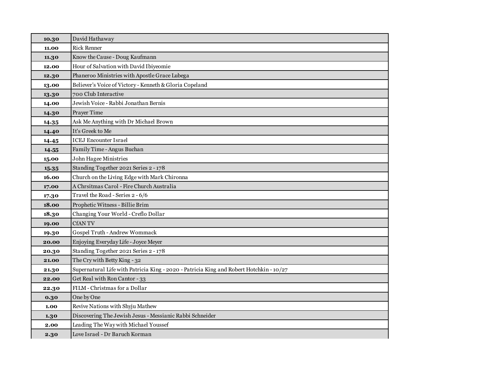| 10.30 | David Hathaway                                                                          |
|-------|-----------------------------------------------------------------------------------------|
| 11.00 | <b>Rick Renner</b>                                                                      |
| 11.30 | Know the Cause - Doug Kaufmann                                                          |
| 12.00 | Hour of Salvation with David Ibiyeomie                                                  |
| 12.30 | Phaneroo Ministries with Apostle Grace Lubega                                           |
| 13.00 | Believer's Voice of Victory - Kenneth & Gloria Copeland                                 |
| 13.30 | 700 Club Interactive                                                                    |
| 14.00 | Jewish Voice - Rabbi Jonathan Bernis                                                    |
| 14.30 | Prayer Time                                                                             |
| 14.35 | Ask Me Anything with Dr Michael Brown                                                   |
| 14.40 | It's Greek to Me                                                                        |
| 14.45 | <b>ICEJ Encounter Israel</b>                                                            |
| 14.55 | Family Time - Angus Buchan                                                              |
| 15.00 | John Hagee Ministries                                                                   |
| 15.35 | Standing Together 2021 Series 2 - 178                                                   |
| 16.00 | Church on the Living Edge with Mark Chironna                                            |
| 17.00 | A Chrsitmas Carol - Fire Church Australia                                               |
| 17.30 | Travel the Road - Series 2 - 6/6                                                        |
| 18.00 | Prophetic Witness - Billie Brim                                                         |
| 18.30 | Changing Your World - Creflo Dollar                                                     |
| 19.00 | <b>CfANTV</b>                                                                           |
| 19.30 | Gospel Truth - Andrew Wommack                                                           |
| 20.00 | Enjoying Everyday Life - Joyce Meyer                                                    |
| 20.30 | Standing Together 2021 Series 2 - 178                                                   |
| 21.00 | The Cry with Betty King - 32                                                            |
| 21.30 | Supernatural Life with Patricia King - 2020 - Patricia King and Robert Hotchkin - 10/27 |
| 22.00 | Get Real with Ron Cantor - 33                                                           |
| 22.30 | FILM - Christmas for a Dollar                                                           |
| 0.30  | One by One                                                                              |
| 1.00  | Revive Nations with Shyju Mathew                                                        |
| 1.30  | Discovering The Jewish Jesus - Messianic Rabbi Schneider                                |
| 2.00  | Leading The Way with Michael Youssef                                                    |
| 2.30  | Love Israel - Dr Baruch Korman                                                          |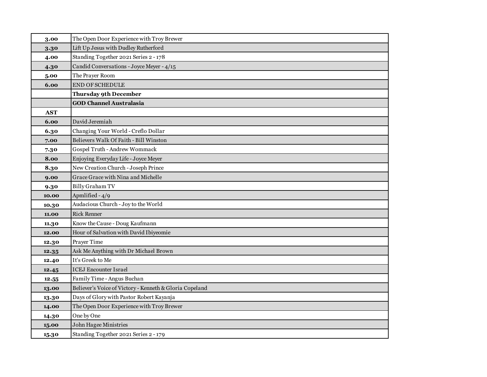| 3.00       | The Open Door Experience with Troy Brewer               |
|------------|---------------------------------------------------------|
| 3.30       | Lift Up Jesus with Dudley Rutherford                    |
| 4.00       | Standing Together 2021 Series 2 - 178                   |
| 4.30       | Candid Conversations - Joyce Meyer - 4/15               |
| 5.00       | The Prayer Room                                         |
| 6.00       | <b>END OF SCHEDULE</b>                                  |
|            | Thursday 9th December                                   |
|            | <b>GOD Channel Australasia</b>                          |
| <b>AST</b> |                                                         |
| 6.00       | David Jeremiah                                          |
| 6.30       | Changing Your World - Creflo Dollar                     |
| 7.00       | Believers Walk Of Faith - Bill Winston                  |
| 7.30       | Gospel Truth - Andrew Wommack                           |
| 8.00       | Enjoying Everyday Life - Joyce Meyer                    |
| 8.30       | New Creation Church - Joseph Prince                     |
| 9.00       | Grace Grace with Nina and Michelle                      |
| 9.30       | <b>Billy Graham TV</b>                                  |
| 10.00      | Apmlified - 4/9                                         |
| 10.30      | Audacious Church - Joy to the World                     |
| 11.00      | <b>Rick Renner</b>                                      |
| 11.30      | Know the Cause - Doug Kaufmann                          |
| 12.00      | Hour of Salvation with David Ibiyeomie                  |
| 12.30      | Prayer Time                                             |
| 12.35      | Ask Me Anything with Dr Michael Brown                   |
| 12.40      | It's Greek to Me                                        |
| 12.45      | <b>ICEJ</b> Encounter Israel                            |
| 12.55      | Family Time - Angus Buchan                              |
| 13.00      | Believer's Voice of Victory - Kenneth & Gloria Copeland |
| 13.30      | Days of Glory with Pastor Robert Kayanja                |
| 14.00      | The Open Door Experience with Troy Brewer               |
| 14.30      | One by One                                              |
| 15.00      | John Hagee Ministries                                   |
| 15.30      | Standing Together 2021 Series 2 - 179                   |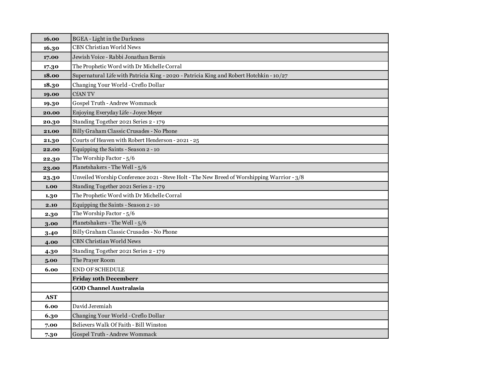| 16.00      | <b>BGEA</b> - Light in the Darkness                                                        |
|------------|--------------------------------------------------------------------------------------------|
| 16.30      | <b>CBN Christian World News</b>                                                            |
| 17.00      | Jewish Voice - Rabbi Jonathan Bernis                                                       |
| 17.30      | The Prophetic Word with Dr Michelle Corral                                                 |
| 18.00      | Supernatural Life with Patricia King - 2020 - Patricia King and Robert Hotchkin - 10/27    |
| 18.30      | Changing Your World - Creflo Dollar                                                        |
| 19.00      | <b>CfANTV</b>                                                                              |
| 19.30      | Gospel Truth - Andrew Wommack                                                              |
| 20.00      | Enjoying Everyday Life - Joyce Meyer                                                       |
| 20.30      | Standing Together 2021 Series 2 - 179                                                      |
| 21.00      | Billy Graham Classic Crusades - No Phone                                                   |
| 21.30      | Courts of Heaven with Robert Henderson - 2021 - 25                                         |
| 22.00      | Equipping the Saints - Season 2 - 10                                                       |
| 22.30      | The Worship Factor - 5/6                                                                   |
| 23.00      | Planetshakers - The Well - 5/6                                                             |
| 23.30      | Unveiled Worship Conference 2021 - Steve Holt - The New Breed of Worshipping Warrior - 3/8 |
| 1.00       | Standing Together 2021 Series 2 - 179                                                      |
| 1.30       | The Prophetic Word with Dr Michelle Corral                                                 |
| 2.10       | Equipping the Saints - Season 2 - 10                                                       |
| 2.30       | The Worship Factor - 5/6                                                                   |
| 3.00       | Planetshakers - The Well - 5/6                                                             |
| 3.40       | Billy Graham Classic Crusades - No Phone                                                   |
| 4.00       | <b>CBN Christian World News</b>                                                            |
| 4.30       | Standing Together 2021 Series 2 - 179                                                      |
| 5.00       | The Prayer Room                                                                            |
| 6.00       | <b>END OF SCHEDULE</b>                                                                     |
|            | <b>Friday 10th Decemberr</b>                                                               |
|            | <b>GOD Channel Australasia</b>                                                             |
| <b>AST</b> |                                                                                            |
| 6.00       | David Jeremiah                                                                             |
| 6.30       | Changing Your World - Creflo Dollar                                                        |
| 7.00       | Believers Walk Of Faith - Bill Winston                                                     |
| 7.30       | Gospel Truth - Andrew Wommack                                                              |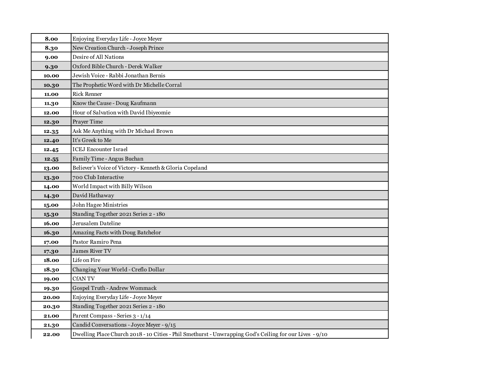| 8.00  | Enjoying Everyday Life - Joyce Meyer                                                                    |
|-------|---------------------------------------------------------------------------------------------------------|
| 8.30  | New Creation Church - Joseph Prince                                                                     |
| 9.00  | Desire of All Nations                                                                                   |
| 9.30  | Oxford Bible Church - Derek Walker                                                                      |
| 10.00 | Jewish Voice - Rabbi Jonathan Bernis                                                                    |
| 10.30 | The Prophetic Word with Dr Michelle Corral                                                              |
| 11.00 | <b>Rick Renner</b>                                                                                      |
| 11.30 | Know the Cause - Doug Kaufmann                                                                          |
| 12.00 | Hour of Salvation with David Ibiyeomie                                                                  |
| 12.30 | Prayer Time                                                                                             |
| 12.35 | Ask Me Anything with Dr Michael Brown                                                                   |
| 12.40 | It's Greek to Me                                                                                        |
| 12.45 | <b>ICEJ Encounter Israel</b>                                                                            |
| 12.55 | Family Time - Angus Buchan                                                                              |
| 13.00 | Believer's Voice of Victory - Kenneth & Gloria Copeland                                                 |
| 13.30 | 700 Club Interactive                                                                                    |
| 14.00 | World Impact with Billy Wilson                                                                          |
| 14.30 | David Hathaway                                                                                          |
| 15.00 | John Hagee Ministries                                                                                   |
| 15.30 | Standing Together 2021 Series 2 - 180                                                                   |
| 16.00 | Jerusalem Dateline                                                                                      |
| 16.30 | Amazing Facts with Doug Batchelor                                                                       |
| 17.00 | Pastor Ramiro Pena                                                                                      |
| 17.30 | <b>James River TV</b>                                                                                   |
| 18.00 | Life on Fire                                                                                            |
| 18.30 | Changing Your World - Creflo Dollar                                                                     |
| 19.00 | <b>CfANTV</b>                                                                                           |
| 19.30 | Gospel Truth - Andrew Wommack                                                                           |
| 20.00 | Enjoying Everyday Life - Joyce Meyer                                                                    |
| 20.30 | Standing Together 2021 Series 2 - 180                                                                   |
| 21.00 | Parent Compass - Series 3 - 1/14                                                                        |
| 21.30 | Candid Conversations - Joyce Meyer - 9/15                                                               |
| 22.00 | Dwelling Place Church 2018 - 10 Cities - Phil Smethurst - Unwrapping God's Ceiling for our Lives - 9/10 |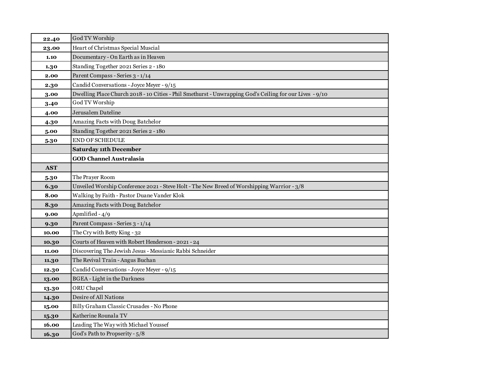| 22.40      | God TV Worship                                                                                          |
|------------|---------------------------------------------------------------------------------------------------------|
| 23.00      | Heart of Christmas Special Muscial                                                                      |
| 1.10       | Documentary - On Earth as in Heaven                                                                     |
| 1.30       | Standing Together 2021 Series 2 - 180                                                                   |
| 2.00       | Parent Compass - Series 3 - 1/14                                                                        |
| 2.30       | Candid Conversations - Joyce Meyer - 9/15                                                               |
| 3.00       | Dwelling Place Church 2018 - 10 Cities - Phil Smethurst - Unwrapping God's Ceiling for our Lives - 9/10 |
| 3.40       | God TV Worship                                                                                          |
| 4.00       | Jerusalem Dateline                                                                                      |
| 4.30       | Amazing Facts with Doug Batchelor                                                                       |
| 5.00       | Standing Together 2021 Series 2 - 180                                                                   |
| 5.30       | <b>END OF SCHEDULE</b>                                                                                  |
|            | <b>Saturday 11th December</b>                                                                           |
|            | <b>GOD Channel Australasia</b>                                                                          |
| <b>AST</b> |                                                                                                         |
| 5.30       | The Prayer Room                                                                                         |
| 6.30       | Unveiled Worship Conference 2021 - Steve Holt - The New Breed of Worshipping Warrior - 3/8              |
| 8.00       | Walking by Faith - Pastor Duane Vander Klok                                                             |
| 8.30       | Amazing Facts with Doug Batchelor                                                                       |
| 9.00       | Apmlified - 4/9                                                                                         |
| 9.30       | Parent Compass - Series 3 - 1/14                                                                        |
| 10.00      | The Cry with Betty King - 32                                                                            |
| 10.30      | Courts of Heaven with Robert Henderson - 2021 - 24                                                      |
| 11.00      | Discovering The Jewish Jesus - Messianic Rabbi Schneider                                                |
| 11.30      | The Revival Train - Angus Buchan                                                                        |
| 12.30      | Candid Conversations - Joyce Meyer - 9/15                                                               |
| 13.00      | <b>BGEA</b> - Light in the Darkness                                                                     |
| 13.30      | ORU Chapel                                                                                              |
| 14.30      | Desire of All Nations                                                                                   |
| 15.00      | Billy Graham Classic Crusades - No Phone                                                                |
| 15.30      | Katherine Rounala TV                                                                                    |
| 16.00      | Leading The Way with Michael Youssef                                                                    |
| 16.30      | God's Path to Propserity - 5/8                                                                          |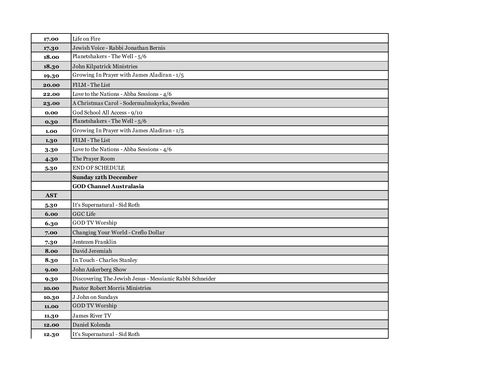| 17.00      | Life on Fire                                             |
|------------|----------------------------------------------------------|
| 17.30      | Jewish Voice - Rabbi Jonathan Bernis                     |
| 18.00      | Planetshakers - The Well - 5/6                           |
| 18.30      | John Kilpatrick Ministries                               |
| 19.30      | Growing In Prayer with James Aladiran - 1/5              |
| 20.00      | FILM - The List                                          |
| 22.00      | Love to the Nations - Abba Sessions - 4/6                |
| 23.00      | A Christmas Carol - Sodermalmskyrka, Sweden              |
| 0.00       | God School All Access - 9/10                             |
| 0.30       | Planetshakers - The Well - 5/6                           |
| 1.00       | Growing In Prayer with James Aladiran - 1/5              |
| 1.30       | FILM - The List                                          |
| 3.30       | Love to the Nations - Abba Sessions - 4/6                |
| 4.30       | The Prayer Room                                          |
| 5.30       | <b>END OF SCHEDULE</b>                                   |
|            | <b>Sunday 12th December</b>                              |
|            | <b>GOD Channel Australasia</b>                           |
| <b>AST</b> |                                                          |
| 5.30       | It's Supernatural - Sid Roth                             |
| 6.00       | <b>GGC</b> Life                                          |
| 6.30       | <b>GOD TV Worship</b>                                    |
| 7.00       | Changing Your World - Creflo Dollar                      |
| 7.30       | Jentezen Franklin                                        |
| 8.00       | David Jeremiah                                           |
| 8.30       | In Touch - Charles Stanley                               |
| 9.00       | John Ankerberg Show                                      |
| 9.30       | Discovering The Jewish Jesus - Messianic Rabbi Schneider |
| 10.00      | <b>Pastor Robert Morris Ministries</b>                   |
| 10.30      | J John on Sundays                                        |
| 11.00      | <b>GOD TV Worship</b>                                    |
| 11.30      | <b>James River TV</b>                                    |
| 12.00      | Daniel Kolenda                                           |
|            |                                                          |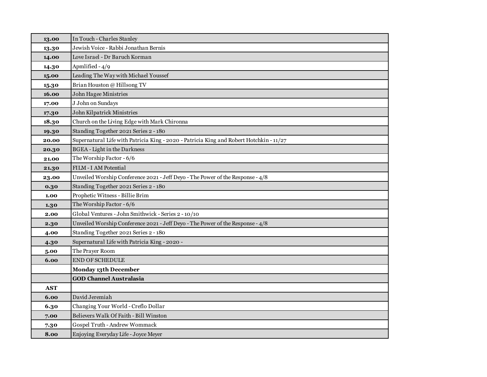| 13.00      | In Touch - Charles Stanley                                                              |
|------------|-----------------------------------------------------------------------------------------|
| 13.30      | Jewish Voice - Rabbi Jonathan Bernis                                                    |
| 14.00      | Love Israel - Dr Baruch Korman                                                          |
| 14.30      | Apmlified - 4/9                                                                         |
| 15.00      | Leading The Way with Michael Youssef                                                    |
| 15.30      | Brian Houston @ Hillsong TV                                                             |
| 16.00      | John Hagee Ministries                                                                   |
| 17.00      | J John on Sundays                                                                       |
| 17.30      | John Kilpatrick Ministries                                                              |
| 18.30      | Church on the Living Edge with Mark Chironna                                            |
| 19.30      | Standing Together 2021 Series 2 - 180                                                   |
| 20.00      | Supernatural Life with Patricia King - 2020 - Patricia King and Robert Hotchkin - 11/27 |
| 20.30      | <b>BGEA</b> - Light in the Darkness                                                     |
| 21.00      | The Worship Factor - 6/6                                                                |
| 21.30      | FILM - I AM Potential                                                                   |
| 23.00      | Unveiled Worship Conference 2021 - Jeff Deyo - The Power of the Response - 4/8          |
| 0.30       | Standing Together 2021 Series 2 - 180                                                   |
| 1.00       | Prophetic Witness - Billie Brim                                                         |
| 1.30       | The Worship Factor - 6/6                                                                |
| 2.00       | Global Ventures - John Smithwick - Series 2 - 10/10                                     |
| 2.30       | Unveiled Worship Conference 2021 - Jeff Deyo - The Power of the Response - 4/8          |
| 4.00       | Standing Together 2021 Series 2 - 180                                                   |
| 4.30       | Supernatural Life with Patricia King - 2020 -                                           |
| 5.00       | The Prayer Room                                                                         |
| 6.00       | <b>END OF SCHEDULE</b>                                                                  |
|            | Monday 13th December                                                                    |
|            | <b>GOD Channel Australasia</b>                                                          |
| <b>AST</b> |                                                                                         |
| 6.00       | David Jeremiah                                                                          |
| 6.30       | Changing Your World - Creflo Dollar                                                     |
| 7.00       | Believers Walk Of Faith - Bill Winston                                                  |
| 7.30       | Gospel Truth - Andrew Wommack                                                           |
| 8.00       | Enjoying Everyday Life - Joyce Meyer                                                    |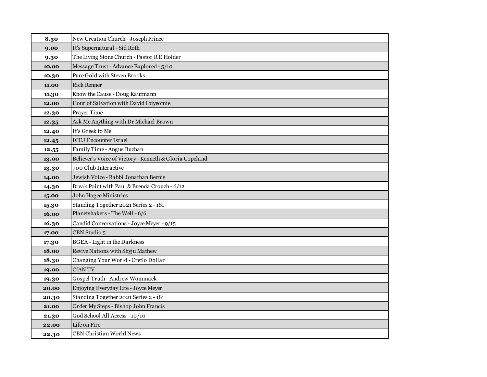| 8.30  | New Creation Church - Joseph Prince                     |
|-------|---------------------------------------------------------|
| 9.00  | It's Supernatural - Sid Roth                            |
| 9.30  | The Living Stone Church - Pastor R E Holder             |
| 10.00 | Message Trust - Advance Explored - 5/10                 |
| 10.30 | Pure Gold with Steven Brooks                            |
| 11.00 | <b>Rick Renner</b>                                      |
| 11.30 | Know the Cause - Doug Kaufmann                          |
| 12.00 | Hour of Salvation with David Ibiyeomie                  |
| 12.30 | Prayer Time                                             |
| 12.35 | Ask Me Anything with Dr Michael Brown                   |
| 12.40 | It's Greek to Me                                        |
| 12.45 | <b>ICEJ Encounter Israel</b>                            |
| 12.55 | Family Time - Angus Buchan                              |
| 13.00 | Believer's Voice of Victory - Kenneth & Gloria Copeland |
| 13.30 | 700 Club Interactive                                    |
| 14.00 | Jewish Voice - Rabbi Jonathan Bernis                    |
| 14.30 | Break Point with Paul & Brenda Crouch - 6/12            |
| 15.00 | John Hagee Ministries                                   |
| 15.30 | Standing Together 2021 Series 2 - 181                   |
| 16.00 | Planetshakers - The Well - 6/6                          |
| 16.30 | Candid Conversations - Joyce Meyer - 9/15               |
| 17.00 | CBN Studio 5                                            |
| 17.30 | <b>BGEA</b> - Light in the Darkness                     |
| 18.00 | Revive Nations with Shyju Mathew                        |
| 18.30 | Changing Your World - Creflo Dollar                     |
| 19.00 | <b>CfANTV</b>                                           |
| 19.30 | Gospel Truth - Andrew Wommack                           |
| 20.00 | Enjoying Everyday Life - Joyce Meyer                    |
| 20.30 | Standing Together 2021 Series 2 - 181                   |
| 21.00 | Order My Steps - Bishop John Francis                    |
| 21.30 | God School All Access - 10/10                           |
| 22.00 | Life on Fire                                            |
| 22.30 | <b>CBN Christian World News</b>                         |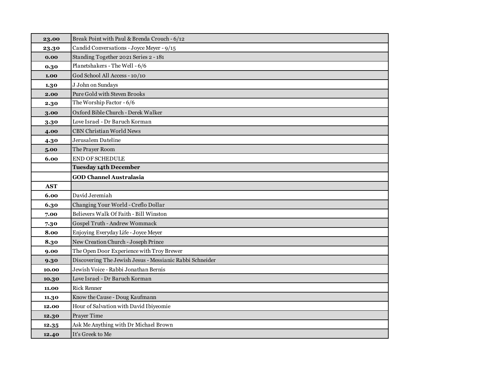| 23.00      | Break Point with Paul & Brenda Crouch - 6/12             |
|------------|----------------------------------------------------------|
| 23.30      | Candid Conversations - Joyce Meyer - 9/15                |
| 0.00       | Standing Together 2021 Series 2 - 181                    |
| 0.30       | Planetshakers - The Well - 6/6                           |
| 1.00       | God School All Access - 10/10                            |
| 1.30       | J John on Sundays                                        |
| 2.00       | Pure Gold with Steven Brooks                             |
| 2.30       | The Worship Factor - 6/6                                 |
| 3.00       | Oxford Bible Church - Derek Walker                       |
| 3.30       | Love Israel - Dr Baruch Korman                           |
| 4.00       | CBN Christian World News                                 |
| 4.30       | Jerusalem Dateline                                       |
| 5.00       | The Prayer Room                                          |
| 6.00       | END OF SCHEDULE                                          |
|            | <b>Tuesday 14th December</b>                             |
|            | <b>GOD Channel Australasia</b>                           |
| <b>AST</b> |                                                          |
| 6.00       | David Jeremiah                                           |
| 6.30       | Changing Your World - Creflo Dollar                      |
| 7.00       | Believers Walk Of Faith - Bill Winston                   |
| 7.30       | Gospel Truth - Andrew Wommack                            |
| 8.00       | Enjoying Everyday Life - Joyce Meyer                     |
| 8.30       | New Creation Church - Joseph Prince                      |
| 9.00       | The Open Door Experience with Troy Brewer                |
| 9.30       | Discovering The Jewish Jesus - Messianic Rabbi Schneider |
| 10.00      | Jewish Voice - Rabbi Jonathan Bernis                     |
| 10.30      | Love Israel - Dr Baruch Korman                           |
| 11.00      | <b>Rick Renner</b>                                       |
| 11.30      | Know the Cause - Doug Kaufmann                           |
| 12.00      | Hour of Salvation with David Ibiyeomie                   |
| 12.30      | Prayer Time                                              |
| 12.35      | Ask Me Anything with Dr Michael Brown                    |
| 12.40      | It's Greek to Me                                         |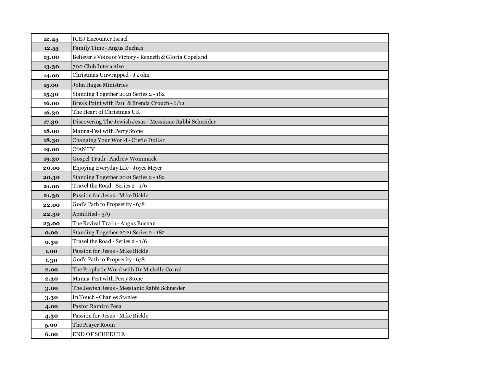| 12.45  | <b>ICEJ</b> Encounter Israel                             |
|--------|----------------------------------------------------------|
| 12.55  | Family Time - Angus Buchan                               |
| 13.00  | Believer's Voice of Victory - Kenneth & Gloria Copeland  |
| 13.30  | 700 Club Interactive                                     |
| 14.00  | Christmas Unwrapped - J John                             |
| 15.00  | John Hagee Ministries                                    |
| 15.30  | Standing Together 2021 Series 2 - 182                    |
| 16.00  | Break Point with Paul & Brenda Crouch - 6/12             |
| 16.30  | The Heart of Christmas UK                                |
| 17.30  | Discovering The Jewish Jesus - Messianic Rabbi Schneider |
| 18.00  | Manna-Fest with Perry Stone                              |
| 18.30  | Changing Your World - Creflo Dollar                      |
| 19.00  | <b>CfANTV</b>                                            |
| 19.30  | Gospel Truth - Andrew Wommack                            |
| 20.00  | Enjoying Everyday Life - Joyce Meyer                     |
| 20.30  | Standing Together 2021 Series 2 - 182                    |
| 21.00  | Travel the Road - Series 2 - 1/6                         |
| 21.30  | Passion for Jesus - Mike Bickle                          |
| 22.00  | God's Path to Propserity - 6/8                           |
| 22.30  | Apmlified - 5/9                                          |
| 23.00  | The Revival Train - Angus Buchan                         |
| 0.00   | Standing Together 2021 Series 2 - 182                    |
| 0.30   | Travel the Road - Series 2 - 1/6                         |
| 1.00   | Passion for Jesus - Mike Bickle                          |
| 1.30   | God's Path to Propserity - 6/8                           |
| 2.00   | The Prophetic Word with Dr Michelle Corral               |
| 2.30   | Manna-Fest with Perry Stone                              |
| 3.00   | The Jewish Jesus - Messianic Rabbi Schneider             |
| $3.30$ | In Touch - Charles Stanley                               |
| 4.00   | Pastor Ramiro Pena                                       |
| 4.30   | Passion for Jesus - Mike Bickle                          |
| 5.00   | The Prayer Room                                          |
| 6.00   | <b>END OF SCHEDULE</b>                                   |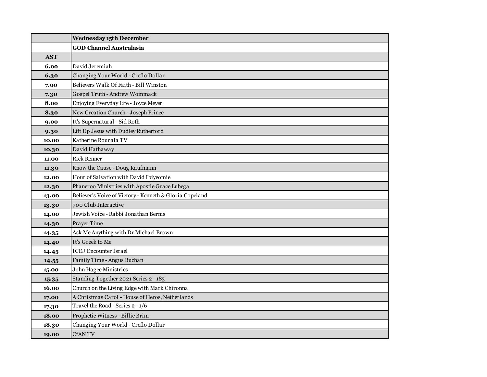|            | <b>Wednesday 15th December</b>                          |
|------------|---------------------------------------------------------|
|            | <b>GOD Channel Australasia</b>                          |
| <b>AST</b> |                                                         |
| 6.00       | David Jeremiah                                          |
| 6.30       | Changing Your World - Creflo Dollar                     |
| 7.00       | Believers Walk Of Faith - Bill Winston                  |
| 7.30       | Gospel Truth - Andrew Wommack                           |
| 8.00       | Enjoying Everyday Life - Joyce Meyer                    |
| 8.30       | New Creation Church - Joseph Prince                     |
| 9.00       | It's Supernatural - Sid Roth                            |
| 9.30       | Lift Up Jesus with Dudley Rutherford                    |
| 10.00      | Katherine Rounala TV                                    |
| 10.30      | David Hathaway                                          |
| 11.00      | <b>Rick Renner</b>                                      |
| 11.30      | Know the Cause - Doug Kaufmann                          |
| 12.00      | Hour of Salvation with David Ibiyeomie                  |
| 12.30      | Phaneroo Ministries with Apostle Grace Lubega           |
| 13.00      | Believer's Voice of Victory - Kenneth & Gloria Copeland |
| 13.30      | 700 Club Interactive                                    |
| 14.00      | Jewish Voice - Rabbi Jonathan Bernis                    |
| 14.30      | Prayer Time                                             |
| 14.35      | Ask Me Anything with Dr Michael Brown                   |
| 14.40      | It's Greek to Me                                        |
| 14.45      | <b>ICEJ Encounter Israel</b>                            |
| 14.55      | Family Time - Angus Buchan                              |
| 15.00      | John Hagee Ministries                                   |
| 15.35      | Standing Together 2021 Series 2 - 183                   |
| 16.00      | Church on the Living Edge with Mark Chironna            |
| 17.00      | A Christmas Carol - House of Heros, Netherlands         |
| 17.30      | Travel the Road - Series 2 - 1/6                        |
| 18.00      | Prophetic Witness - Billie Brim                         |
| 18.30      | Changing Your World - Creflo Dollar                     |
| 19.00      | <b>CfANTV</b>                                           |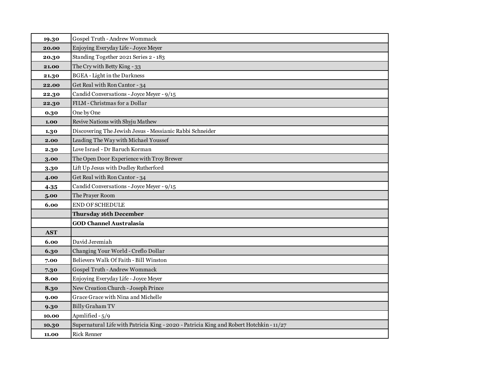| 19.30      | Gospel Truth - Andrew Wommack                                                           |
|------------|-----------------------------------------------------------------------------------------|
| 20.00      | Enjoying Everyday Life - Joyce Meyer                                                    |
| 20.30      | Standing Together 2021 Series 2 - 183                                                   |
| 21.00      | The Cry with Betty King - 33                                                            |
| 21.30      | <b>BGEA</b> - Light in the Darkness                                                     |
| 22.00      | Get Real with Ron Cantor - 34                                                           |
| 22.30      | Candid Conversations - Joyce Meyer - 9/15                                               |
| 22.30      | FILM - Christmas for a Dollar                                                           |
| 0.30       | One by One                                                                              |
| 1.00       | Revive Nations with Shyju Mathew                                                        |
| 1.30       | Discovering The Jewish Jesus - Messianic Rabbi Schneider                                |
| 2.00       | Leading The Way with Michael Youssef                                                    |
| 2.30       | Love Israel - Dr Baruch Korman                                                          |
| 3.00       | The Open Door Experience with Troy Brewer                                               |
| 3.30       | Lift Up Jesus with Dudley Rutherford                                                    |
| 4.00       | Get Real with Ron Cantor - 34                                                           |
| 4.35       | Candid Conversations - Joyce Meyer - 9/15                                               |
| 5.00       | The Prayer Room                                                                         |
| 6.00       | <b>END OF SCHEDULE</b>                                                                  |
|            | <b>Thursday 16th December</b>                                                           |
|            | <b>GOD Channel Australasia</b>                                                          |
| <b>AST</b> |                                                                                         |
| 6.00       | David Jeremiah                                                                          |
| 6.30       | Changing Your World - Creflo Dollar                                                     |
| 7.00       | Believers Walk Of Faith - Bill Winston                                                  |
| 7.30       | Gospel Truth - Andrew Wommack                                                           |
| 8.00       | Enjoying Everyday Life - Joyce Meyer                                                    |
| 8.30       | New Creation Church - Joseph Prince                                                     |
| 9.00       | Grace Grace with Nina and Michelle                                                      |
| 9.30       | Billy Graham TV                                                                         |
| 10.00      | Apmlified - 5/9                                                                         |
| 10.30      | Supernatural Life with Patricia King - 2020 - Patricia King and Robert Hotchkin - 11/27 |
| 11.00      | <b>Rick Renner</b>                                                                      |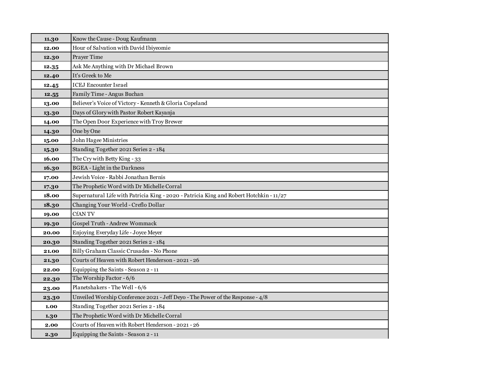| 11.30 | Know the Cause - Doug Kaufmann                                                          |
|-------|-----------------------------------------------------------------------------------------|
| 12.00 | Hour of Salvation with David Ibiyeomie                                                  |
| 12.30 | Prayer Time                                                                             |
| 12.35 | Ask Me Anything with Dr Michael Brown                                                   |
| 12.40 | It's Greek to Me                                                                        |
| 12.45 | <b>ICEJ</b> Encounter Israel                                                            |
| 12.55 | Family Time - Angus Buchan                                                              |
| 13.00 | Believer's Voice of Victory - Kenneth & Gloria Copeland                                 |
| 13.30 | Days of Glory with Pastor Robert Kayanja                                                |
| 14.00 | The Open Door Experience with Troy Brewer                                               |
| 14.30 | One by One                                                                              |
| 15.00 | John Hagee Ministries                                                                   |
| 15.30 | Standing Together 2021 Series 2 - 184                                                   |
| 16.00 | The Cry with Betty King - 33                                                            |
| 16.30 | <b>BGEA</b> - Light in the Darkness                                                     |
| 17.00 | Jewish Voice - Rabbi Jonathan Bernis                                                    |
| 17.30 | The Prophetic Word with Dr Michelle Corral                                              |
| 18.00 | Supernatural Life with Patricia King - 2020 - Patricia King and Robert Hotchkin - 11/27 |
| 18.30 | Changing Your World - Creflo Dollar                                                     |
| 19.00 | <b>CfANTV</b>                                                                           |
| 19.30 | Gospel Truth - Andrew Wommack                                                           |
| 20.00 | Enjoying Everyday Life - Joyce Meyer                                                    |
| 20.30 | Standing Together 2021 Series 2 - 184                                                   |
| 21.00 | Billy Graham Classic Crusades - No Phone                                                |
| 21.30 | Courts of Heaven with Robert Henderson - 2021 - 26                                      |
| 22.00 | Equipping the Saints - Season 2 - 11                                                    |
| 22.30 | The Worship Factor - 6/6                                                                |
| 23.00 | Planetshakers - The Well - 6/6                                                          |
| 23.30 | Unveiled Worship Conference 2021 - Jeff Deyo - The Power of the Response - 4/8          |
| 1.00  | Standing Together 2021 Series 2 - 184                                                   |
| 1.30  | The Prophetic Word with Dr Michelle Corral                                              |
| 2.00  | Courts of Heaven with Robert Henderson - 2021 - 26                                      |
| 2.30  | Equipping the Saints - Season 2 - 11                                                    |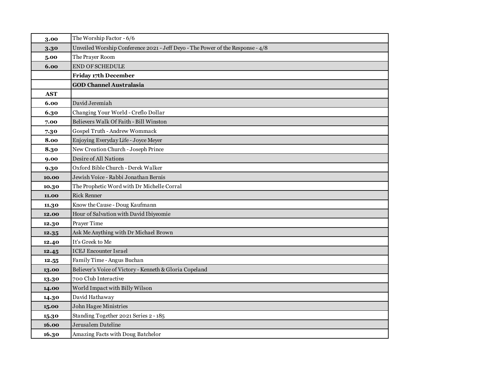| 3.00  | The Worship Factor - 6/6                                                       |
|-------|--------------------------------------------------------------------------------|
| 3.30  | Unveiled Worship Conference 2021 - Jeff Deyo - The Power of the Response - 4/8 |
| 5.00  | The Prayer Room                                                                |
| 6.00  | <b>END OF SCHEDULE</b>                                                         |
|       | <b>Friday 17th December</b>                                                    |
|       | <b>GOD Channel Australasia</b>                                                 |
| AST   |                                                                                |
| 6.00  | David Jeremiah                                                                 |
| 6.30  | Changing Your World - Creflo Dollar                                            |
| 7.00  | Believers Walk Of Faith - Bill Winston                                         |
| 7.30  | Gospel Truth - Andrew Wommack                                                  |
| 8.00  | Enjoying Everyday Life - Joyce Meyer                                           |
| 8.30  | New Creation Church - Joseph Prince                                            |
| 9.00  | Desire of All Nations                                                          |
| 9.30  | Oxford Bible Church - Derek Walker                                             |
| 10.00 | Jewish Voice - Rabbi Jonathan Bernis                                           |
| 10.30 | The Prophetic Word with Dr Michelle Corral                                     |
| 11.00 | <b>Rick Renner</b>                                                             |
| 11.30 | Know the Cause - Doug Kaufmann                                                 |
| 12.00 | Hour of Salvation with David Ibiyeomie                                         |
| 12.30 | Prayer Time                                                                    |
| 12.35 | Ask Me Anything with Dr Michael Brown                                          |
| 12.40 | It's Greek to Me                                                               |
| 12.45 | <b>ICEJ</b> Encounter Israel                                                   |
| 12.55 | Family Time - Angus Buchan                                                     |
| 13.00 | Believer's Voice of Victory - Kenneth & Gloria Copeland                        |
| 13.30 | 700 Club Interactive                                                           |
| 14.00 | World Impact with Billy Wilson                                                 |
| 14.30 | David Hathaway                                                                 |
| 15.00 | John Hagee Ministries                                                          |
| 15.30 | Standing Together 2021 Series 2 - 185                                          |
| 16.00 | Jerusalem Dateline                                                             |
| 16.30 | Amazing Facts with Doug Batchelor                                              |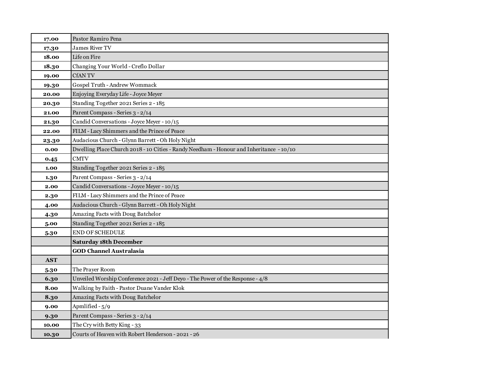| 17.00      | Pastor Ramiro Pena                                                                      |
|------------|-----------------------------------------------------------------------------------------|
| 17.30      | <b>James River TV</b>                                                                   |
| 18.00      | Life on Fire                                                                            |
| 18.30      | Changing Your World - Creflo Dollar                                                     |
| 19.00      | <b>CfANTV</b>                                                                           |
| 19.30      | Gospel Truth - Andrew Wommack                                                           |
| 20.00      | Enjoying Everyday Life - Joyce Meyer                                                    |
| 20.30      | Standing Together 2021 Series 2 - 185                                                   |
| 21.00      | Parent Compass - Series 3 - 2/14                                                        |
| 21.30      | Candid Conversations - Joyce Meyer - 10/15                                              |
| 22.00      | FILM - Lucy Shimmers and the Prince of Peace                                            |
| 23.30      | Audacious Church - Glynn Barrett - Oh Holy Night                                        |
| 0.00       | Dwelling Place Church 2018 - 10 Cities - Randy Needham - Honour and Inheritance - 10/10 |
| 0.45       | <b>CMTV</b>                                                                             |
| 1.00       | Standing Together 2021 Series 2 - 185                                                   |
| 1.30       | Parent Compass - Series 3 - 2/14                                                        |
| 2.00       | Candid Conversations - Joyce Meyer - 10/15                                              |
| 2.30       | FILM - Lucy Shimmers and the Prince of Peace                                            |
| 4.00       | Audacious Church - Glynn Barrett - Oh Holy Night                                        |
| 4.30       | Amazing Facts with Doug Batchelor                                                       |
| 5.00       | Standing Together 2021 Series 2 - 185                                                   |
| 5.30       | END OF SCHEDULE                                                                         |
|            | <b>Saturday 18th December</b>                                                           |
|            | <b>GOD Channel Australasia</b>                                                          |
| <b>AST</b> |                                                                                         |
| 5.30       | The Prayer Room                                                                         |
| 6.30       | Unveiled Worship Conference 2021 - Jeff Deyo - The Power of the Response - 4/8          |
| 8.00       | Walking by Faith - Pastor Duane Vander Klok                                             |
| 8.30       | Amazing Facts with Doug Batchelor                                                       |
| 9.00       | Apmlified - 5/9                                                                         |
| 9.30       | Parent Compass - Series 3 - 2/14                                                        |
| 10.00      | The Cry with Betty King - 33                                                            |
| 10.30      | Courts of Heaven with Robert Henderson - 2021 - 26                                      |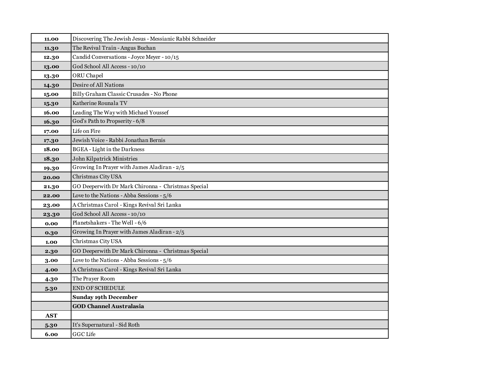| 11.00      | Discovering The Jewish Jesus - Messianic Rabbi Schneider |
|------------|----------------------------------------------------------|
| 11.30      | The Revival Train - Angus Buchan                         |
| 12.30      | Candid Conversations - Joyce Meyer - 10/15               |
| 13.00      | God School All Access - 10/10                            |
| 13.30      | ORU Chapel                                               |
| 14.30      | Desire of All Nations                                    |
| 15.00      | Billy Graham Classic Crusades - No Phone                 |
| 15.30      | Katherine Rounala TV                                     |
| 16.00      | Leading The Way with Michael Youssef                     |
| 16.30      | God's Path to Propserity - 6/8                           |
| 17.00      | Life on Fire                                             |
| 17.30      | Jewish Voice - Rabbi Jonathan Bernis                     |
| 18.00      | <b>BGEA</b> - Light in the Darkness                      |
| 18.30      | John Kilpatrick Ministries                               |
| 19.30      | Growing In Prayer with James Aladiran - 2/5              |
| 20.00      | Christmas City USA                                       |
| 21.30      | GO Deeperwith Dr Mark Chironna - Christmas Special       |
| 22.00      | Love to the Nations - Abba Sessions - 5/6                |
| 23.00      | A Christmas Carol - Kings Revival Sri Lanka              |
| 23.30      | God School All Access - 10/10                            |
| 0.00       | Planetshakers - The Well - 6/6                           |
| 0.30       | Growing In Prayer with James Aladiran - 2/5              |
| 1.00       | Christmas City USA                                       |
| 2.30       | GO Deeperwith Dr Mark Chironna - Christmas Special       |
| 3.00       | Love to the Nations - Abba Sessions - 5/6                |
| 4.00       | A Christmas Carol - Kings Revival Sri Lanka              |
| 4.30       | The Prayer Room                                          |
| 5.30       | <b>END OF SCHEDULE</b>                                   |
|            | <b>Sunday 19th December</b>                              |
|            | <b>GOD Channel Australasia</b>                           |
| <b>AST</b> |                                                          |
| 5.30       | It's Supernatural - Sid Roth                             |
| 6.00       | <b>GGC</b> Life                                          |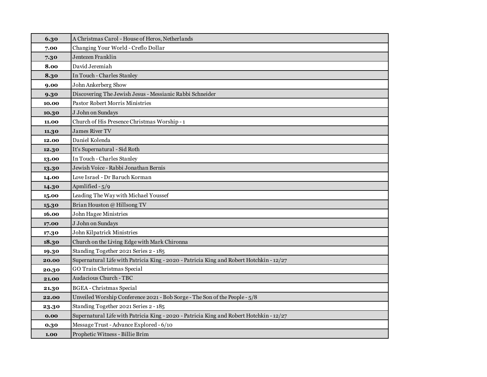| 6.30  | A Christmas Carol - House of Heros, Netherlands                                         |
|-------|-----------------------------------------------------------------------------------------|
| 7.00  | Changing Your World - Creflo Dollar                                                     |
| 7.30  | Jentezen Franklin                                                                       |
| 8.00  | David Jeremiah                                                                          |
| 8.30  | In Touch - Charles Stanley                                                              |
| 9.00  | John Ankerberg Show                                                                     |
| 9.30  | Discovering The Jewish Jesus - Messianic Rabbi Schneider                                |
| 10.00 | <b>Pastor Robert Morris Ministries</b>                                                  |
| 10.30 | J John on Sundays                                                                       |
| 11.00 | Church of His Presence Christmas Worship - 1                                            |
| 11.30 | <b>James River TV</b>                                                                   |
| 12.00 | Daniel Kolenda                                                                          |
| 12.30 | It's Supernatural - Sid Roth                                                            |
| 13.00 | In Touch - Charles Stanley                                                              |
| 13.30 | Jewish Voice - Rabbi Jonathan Bernis                                                    |
| 14.00 | Love Israel - Dr Baruch Korman                                                          |
| 14.30 | Apmlified - 5/9                                                                         |
| 15.00 | Leading The Way with Michael Youssef                                                    |
| 15.30 | Brian Houston @ Hillsong TV                                                             |
| 16.00 | John Hagee Ministries                                                                   |
| 17.00 | J John on Sundays                                                                       |
| 17.30 | John Kilpatrick Ministries                                                              |
| 18.30 | Church on the Living Edge with Mark Chironna                                            |
| 19.30 | Standing Together 2021 Series 2 - 185                                                   |
| 20.00 | Supernatural Life with Patricia King - 2020 - Patricia King and Robert Hotchkin - 12/27 |
| 20.30 | GO Train Christmas Special                                                              |
| 21.00 | Audacious Church - TBC                                                                  |
| 21.30 | <b>BGEA</b> - Christmas Special                                                         |
| 22.00 | Unveiled Worship Conference 2021 - Bob Sorge - The Son of the People - 5/8              |
| 23.30 | Standing Together 2021 Series 2 - 185                                                   |
| 0.00  | Supernatural Life with Patricia King - 2020 - Patricia King and Robert Hotchkin - 12/27 |
| 0.30  | Message Trust - Advance Explored - 6/10                                                 |
| 1.00  | Prophetic Witness - Billie Brim                                                         |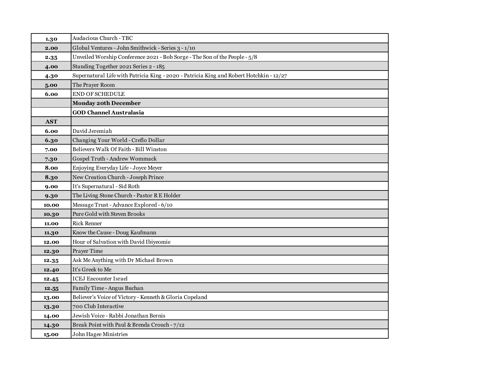| 1.30       | Audacious Church - TBC                                                                  |
|------------|-----------------------------------------------------------------------------------------|
| 2.00       | Global Ventures - John Smithwick - Series 3 - 1/10                                      |
| 2.35       | Unveiled Worship Conference 2021 - Bob Sorge - The Son of the People - 5/8              |
| 4.00       | Standing Together 2021 Series 2 - 185                                                   |
| 4.30       | Supernatural Life with Patricia King - 2020 - Patricia King and Robert Hotchkin - 12/27 |
| 5.00       | The Prayer Room                                                                         |
| 6.00       | <b>END OF SCHEDULE</b>                                                                  |
|            | <b>Monday 20th December</b>                                                             |
|            | <b>GOD Channel Australasia</b>                                                          |
| <b>AST</b> |                                                                                         |
| 6.00       | David Jeremiah                                                                          |
| 6.30       | Changing Your World - Creflo Dollar                                                     |
| 7.00       | Believers Walk Of Faith - Bill Winston                                                  |
| 7.30       | Gospel Truth - Andrew Wommack                                                           |
| 8.00       | Enjoying Everyday Life - Joyce Meyer                                                    |
| 8.30       | New Creation Church - Joseph Prince                                                     |
| 9.00       | It's Supernatural - Sid Roth                                                            |
| 9.30       | The Living Stone Church - Pastor R E Holder                                             |
| 10.00      | Message Trust - Advance Explored - 6/10                                                 |
| 10.30      | Pure Gold with Steven Brooks                                                            |
| 11.00      | <b>Rick Renner</b>                                                                      |
| 11.30      | Know the Cause - Doug Kaufmann                                                          |
| 12.00      | Hour of Salvation with David Ibiyeomie                                                  |
| 12.30      | Prayer Time                                                                             |
| 12.35      | Ask Me Anything with Dr Michael Brown                                                   |
| 12.40      | It's Greek to Me                                                                        |
| 12.45      | <b>ICEJ Encounter Israel</b>                                                            |
| 12.55      | Family Time - Angus Buchan                                                              |
| 13.00      | Believer's Voice of Victory - Kenneth & Gloria Copeland                                 |
| 13.30      | 700 Club Interactive                                                                    |
| 14.00      | Jewish Voice - Rabbi Jonathan Bernis                                                    |
| 14.30      | Break Point with Paul & Brenda Crouch - 7/12                                            |
| 15.00      | John Hagee Ministries                                                                   |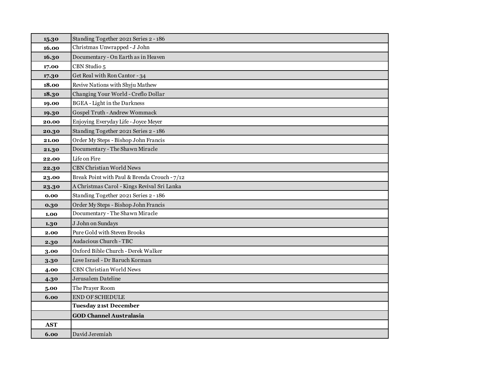| 15.30 | Standing Together 2021 Series 2 - 186        |
|-------|----------------------------------------------|
| 16.00 | Christmas Unwrapped - J John                 |
| 16.30 | Documentary - On Earth as in Heaven          |
| 17.00 | CBN Studio 5                                 |
| 17.30 | Get Real with Ron Cantor - 34                |
| 18.00 | Revive Nations with Shyju Mathew             |
| 18.30 | Changing Your World - Creflo Dollar          |
| 19.00 | <b>BGEA</b> - Light in the Darkness          |
| 19.30 | Gospel Truth - Andrew Wommack                |
| 20.00 | Enjoying Everyday Life - Joyce Meyer         |
| 20.30 | Standing Together 2021 Series 2 - 186        |
| 21.00 | Order My Steps - Bishop John Francis         |
| 21.30 | Documentary - The Shawn Miracle              |
| 22.00 | Life on Fire                                 |
| 22.30 | <b>CBN Christian World News</b>              |
| 23.00 | Break Point with Paul & Brenda Crouch - 7/12 |
| 23.30 | A Christmas Carol - Kings Revival Sri Lanka  |
| 0.00  | Standing Together 2021 Series 2 - 186        |
| 0.30  | Order My Steps - Bishop John Francis         |
| 1.00  | Documentary - The Shawn Miracle              |
| 1.30  | J John on Sundays                            |
| 2.00  | Pure Gold with Steven Brooks                 |
| 2.30  | Audacious Church - TBC                       |
| 3.00  | Oxford Bible Church - Derek Walker           |
| 3.30  | Love Israel - Dr Baruch Korman               |
| 4.00  | <b>CBN Christian World News</b>              |
| 4.30  | Jerusalem Dateline                           |
| 5.00  | The Prayer Room                              |
| 6.00  | END OF SCHEDULE                              |
|       | <b>Tuesday 21st December</b>                 |
|       | <b>GOD Channel Australasia</b>               |
| AST   |                                              |
| 6.00  | David Jeremiah                               |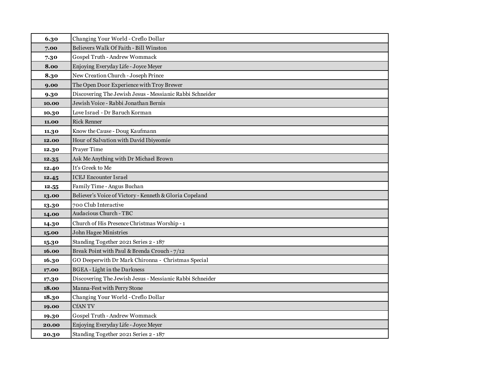| 6.30  | Changing Your World - Creflo Dollar                      |
|-------|----------------------------------------------------------|
| 7.00  | Believers Walk Of Faith - Bill Winston                   |
| 7.30  | Gospel Truth - Andrew Wommack                            |
| 8.00  | Enjoying Everyday Life - Joyce Meyer                     |
| 8.30  | New Creation Church - Joseph Prince                      |
| 9.00  | The Open Door Experience with Troy Brewer                |
| 9.30  | Discovering The Jewish Jesus - Messianic Rabbi Schneider |
| 10.00 | Jewish Voice - Rabbi Jonathan Bernis                     |
| 10.30 | Love Israel - Dr Baruch Korman                           |
| 11.00 | <b>Rick Renner</b>                                       |
| 11.30 | Know the Cause - Doug Kaufmann                           |
| 12.00 | Hour of Salvation with David Ibiyeomie                   |
| 12.30 | Prayer Time                                              |
| 12.35 | Ask Me Anything with Dr Michael Brown                    |
| 12.40 | It's Greek to Me                                         |
| 12.45 | <b>ICEJ Encounter Israel</b>                             |
| 12.55 | Family Time - Angus Buchan                               |
| 13.00 | Believer's Voice of Victory - Kenneth & Gloria Copeland  |
| 13.30 | 700 Club Interactive                                     |
| 14.00 | Audacious Church - TBC                                   |
| 14.30 | Church of His Presence Christmas Worship - 1             |
| 15.00 | John Hagee Ministries                                    |
| 15.30 | Standing Together 2021 Series 2 - 187                    |
| 16.00 | Break Point with Paul & Brenda Crouch - 7/12             |
| 16.30 | GO Deeperwith Dr Mark Chironna - Christmas Special       |
| 17.00 | <b>BGEA</b> - Light in the Darkness                      |
| 17.30 | Discovering The Jewish Jesus - Messianic Rabbi Schneider |
| 18.00 | Manna-Fest with Perry Stone                              |
| 18.30 | Changing Your World - Creflo Dollar                      |
| 19.00 | <b>CfANTV</b>                                            |
| 19.30 | Gospel Truth - Andrew Wommack                            |
| 20.00 | Enjoying Everyday Life - Joyce Meyer                     |
| 20.30 | Standing Together 2021 Series 2 - 187                    |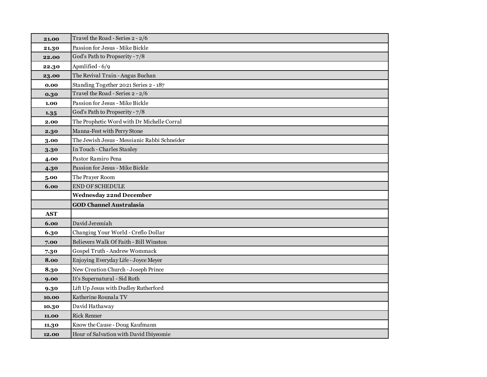| 21.00      | Travel the Road - Series 2 - 2/6             |
|------------|----------------------------------------------|
| 21.30      | Passion for Jesus - Mike Bickle              |
| 22.00      | God's Path to Propserity - 7/8               |
| 22.30      | Apmlified - 6/9                              |
| 23.00      | The Revival Train - Angus Buchan             |
| 0.00       | Standing Together 2021 Series 2 - 187        |
| 0.30       | Travel the Road - Series 2 - 2/6             |
| 1.00       | Passion for Jesus - Mike Bickle              |
| 1.35       | God's Path to Propserity - 7/8               |
| 2.00       | The Prophetic Word with Dr Michelle Corral   |
| 2.30       | Manna-Fest with Perry Stone                  |
| 3.00       | The Jewish Jesus - Messianic Rabbi Schneider |
| 3.30       | In Touch - Charles Stanley                   |
| 4.00       | Pastor Ramiro Pena                           |
| 4.30       | Passion for Jesus - Mike Bickle              |
| 5.00       | The Prayer Room                              |
| 6.00       | <b>END OF SCHEDULE</b>                       |
|            |                                              |
|            | <b>Wednesday 22nd December</b>               |
|            | <b>GOD Channel Australasia</b>               |
| <b>AST</b> |                                              |
| 6.00       | David Jeremiah                               |
| 6.30       | Changing Your World - Creflo Dollar          |
| 7.00       | Believers Walk Of Faith - Bill Winston       |
| 7.30       | Gospel Truth - Andrew Wommack                |
| 8.00       | Enjoying Everyday Life - Joyce Meyer         |
| 8.30       | New Creation Church - Joseph Prince          |
| 9.00       | It's Supernatural - Sid Roth                 |
| 9.30       | Lift Up Jesus with Dudley Rutherford         |
| 10.00      | Katherine Rounala TV                         |
| 10.30      | David Hathaway                               |
| 11.00      | <b>Rick Renner</b>                           |
| 11.30      | Know the Cause - Doug Kaufmann               |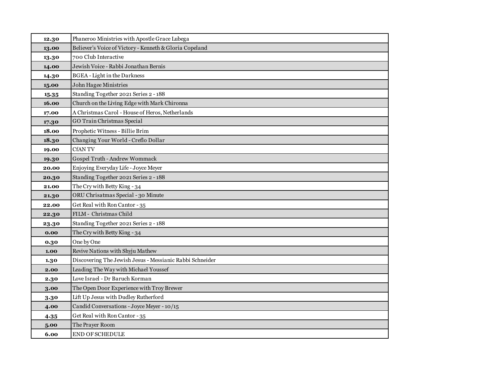| 12.30 | Phaneroo Ministries with Apostle Grace Lubega            |
|-------|----------------------------------------------------------|
| 13.00 | Believer's Voice of Victory - Kenneth & Gloria Copeland  |
| 13.30 | 700 Club Interactive                                     |
| 14.00 | Jewish Voice - Rabbi Jonathan Bernis                     |
| 14.30 | <b>BGEA</b> - Light in the Darkness                      |
| 15.00 | John Hagee Ministries                                    |
| 15.35 | Standing Together 2021 Series 2 - 188                    |
| 16.00 | Church on the Living Edge with Mark Chironna             |
| 17.00 | A Christmas Carol - House of Heros, Netherlands          |
| 17.30 | GO Train Christmas Special                               |
| 18.00 | Prophetic Witness - Billie Brim                          |
| 18.30 | Changing Your World - Creflo Dollar                      |
| 19.00 | <b>CfANTV</b>                                            |
| 19.30 | Gospel Truth - Andrew Wommack                            |
| 20.00 | Enjoying Everyday Life - Joyce Meyer                     |
| 20.30 | Standing Together 2021 Series 2 - 188                    |
| 21.00 | The Cry with Betty King - 34                             |
| 21.30 | ORU Chrisatmas Special - 30 Minute                       |
| 22.00 | Get Real with Ron Cantor - 35                            |
| 22.30 | FILM - Christmas Child                                   |
| 23.30 | Standing Together 2021 Series 2 - 188                    |
| 0.00  | The Cry with Betty King - 34                             |
| 0.30  | One by One                                               |
| 1.00  | Revive Nations with Shyju Mathew                         |
| 1.30  | Discovering The Jewish Jesus - Messianic Rabbi Schneider |
| 2.00  | Leading The Way with Michael Youssef                     |
| 2.30  | Love Israel - Dr Baruch Korman                           |
| 3.00  | The Open Door Experience with Troy Brewer                |
| 3.30  | Lift Up Jesus with Dudley Rutherford                     |
| 4.00  | Candid Conversations - Joyce Meyer - 10/15               |
| 4.35  | Get Real with Ron Cantor - 35                            |
| 5.00  | The Prayer Room                                          |
| 6.00  | <b>END OF SCHEDULE</b>                                   |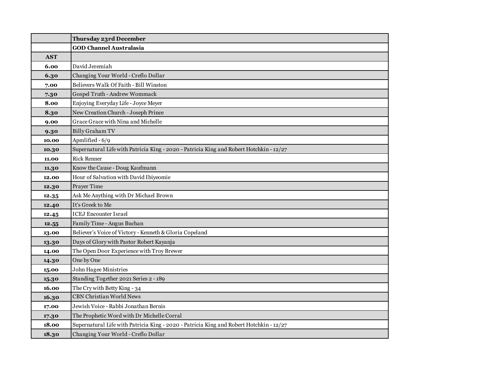|            | Thursday 23rd December                                                                  |
|------------|-----------------------------------------------------------------------------------------|
|            | <b>GOD Channel Australasia</b>                                                          |
| <b>AST</b> |                                                                                         |
| 6.00       | David Jeremiah                                                                          |
| 6.30       | Changing Your World - Creflo Dollar                                                     |
| 7.00       | Believers Walk Of Faith - Bill Winston                                                  |
| 7.30       | Gospel Truth - Andrew Wommack                                                           |
| 8.00       | Enjoying Everyday Life - Joyce Meyer                                                    |
| 8.30       | New Creation Church - Joseph Prince                                                     |
| 9.00       | Grace Grace with Nina and Michelle                                                      |
| 9.30       | Billy Graham TV                                                                         |
| 10.00      | Apmlified - 6/9                                                                         |
| 10.30      | Supernatural Life with Patricia King - 2020 - Patricia King and Robert Hotchkin - 12/27 |
| 11.00      | <b>Rick Renner</b>                                                                      |
| 11.30      | Know the Cause - Doug Kaufmann                                                          |
| 12.00      | Hour of Salvation with David Ibiyeomie                                                  |
| 12.30      | Prayer Time                                                                             |
| 12.35      | Ask Me Anything with Dr Michael Brown                                                   |
| 12.40      | It's Greek to Me                                                                        |
| 12.45      | <b>ICEJ Encounter Israel</b>                                                            |
| 12.55      | Family Time - Angus Buchan                                                              |
| 13.00      | Believer's Voice of Victory - Kenneth & Gloria Copeland                                 |
| 13.30      | Days of Glory with Pastor Robert Kayanja                                                |
| 14.00      | The Open Door Experience with Troy Brewer                                               |
| 14.30      | One by One                                                                              |
| 15.00      | John Hagee Ministries                                                                   |
| 15.30      | Standing Together 2021 Series 2 - 189                                                   |
| 16.00      | The Cry with Betty King - 34                                                            |
| 16.30      | <b>CBN Christian World News</b>                                                         |
| 17.00      | Jewish Voice - Rabbi Jonathan Bernis                                                    |
| 17.30      | The Prophetic Word with Dr Michelle Corral                                              |
| 18.00      | Supernatural Life with Patricia King - 2020 - Patricia King and Robert Hotchkin - 12/27 |
| 18.30      | Changing Your World - Creflo Dollar                                                     |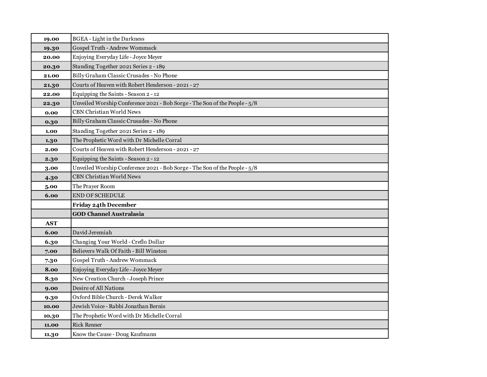| 19.00      | <b>BGEA</b> - Light in the Darkness                                        |
|------------|----------------------------------------------------------------------------|
| 19.30      | Gospel Truth - Andrew Wommack                                              |
| 20.00      | Enjoying Everyday Life - Joyce Meyer                                       |
| 20.30      | Standing Together 2021 Series 2 - 189                                      |
| 21.00      | Billy Graham Classic Crusades - No Phone                                   |
| 21.30      | Courts of Heaven with Robert Henderson - 2021 - 27                         |
| 22.00      | Equipping the Saints - Season 2 - 12                                       |
| 22.30      | Unveiled Worship Conference 2021 - Bob Sorge - The Son of the People - 5/8 |
| 0.00       | <b>CBN Christian World News</b>                                            |
| 0.30       | Billy Graham Classic Crusades - No Phone                                   |
| 1.00       | Standing Together 2021 Series 2 - 189                                      |
| 1.30       | The Prophetic Word with Dr Michelle Corral                                 |
| 2.00       | Courts of Heaven with Robert Henderson - 2021 - 27                         |
| 2.30       | Equipping the Saints - Season 2 - 12                                       |
| 3.00       | Unveiled Worship Conference 2021 - Bob Sorge - The Son of the People - 5/8 |
| 4.30       | <b>CBN Christian World News</b>                                            |
| 5.00       | The Prayer Room                                                            |
| 6.00       | <b>END OF SCHEDULE</b>                                                     |
|            | Friday 24th December                                                       |
|            | <b>GOD Channel Australasia</b>                                             |
| <b>AST</b> |                                                                            |
| 6.00       | David Jeremiah                                                             |
| 6.30       | Changing Your World - Creflo Dollar                                        |
| 7.00       | Believers Walk Of Faith - Bill Winston                                     |
| 7.30       | Gospel Truth - Andrew Wommack                                              |
| 8.00       | Enjoying Everyday Life - Joyce Meyer                                       |
| 8.30       | New Creation Church - Joseph Prince                                        |
| 9.00       | Desire of All Nations                                                      |
| 9.30       | Oxford Bible Church - Derek Walker                                         |
| 10.00      | Jewish Voice - Rabbi Jonathan Bernis                                       |
| 10.30      | The Prophetic Word with Dr Michelle Corral                                 |
| 11.00      |                                                                            |
|            | <b>Rick Renner</b>                                                         |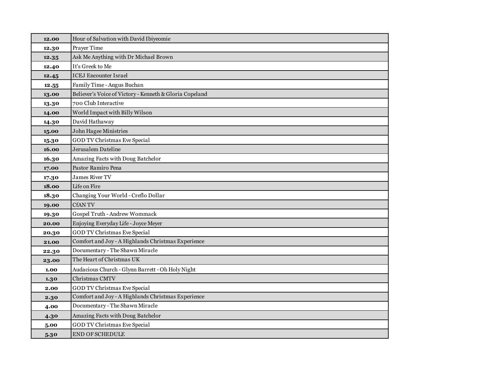| 12.00 | Hour of Salvation with David Ibiyeomie                  |
|-------|---------------------------------------------------------|
| 12.30 | Prayer Time                                             |
| 12.35 | Ask Me Anything with Dr Michael Brown                   |
| 12.40 | It's Greek to Me                                        |
| 12.45 | <b>ICEJ</b> Encounter Israel                            |
| 12.55 | Family Time - Angus Buchan                              |
| 13.00 | Believer's Voice of Victory - Kenneth & Gloria Copeland |
| 13.30 | 700 Club Interactive                                    |
| 14.00 | World Impact with Billy Wilson                          |
| 14.30 | David Hathaway                                          |
| 15.00 | John Hagee Ministries                                   |
| 15.30 | GOD TV Christmas Eve Special                            |
| 16.00 | Jerusalem Dateline                                      |
| 16.30 | Amazing Facts with Doug Batchelor                       |
| 17.00 | Pastor Ramiro Pena                                      |
| 17.30 | <b>James River TV</b>                                   |
| 18.00 | Life on Fire                                            |
| 18.30 | Changing Your World - Creflo Dollar                     |
| 19.00 | <b>CfANTV</b>                                           |
| 19.30 | Gospel Truth - Andrew Wommack                           |
| 20.00 | Enjoying Everyday Life - Joyce Meyer                    |
| 20.30 | GOD TV Christmas Eve Special                            |
| 21.00 | Comfort and Joy - A Highlands Christmas Experience      |
| 22.30 | Documentary - The Shawn Miracle                         |
| 23.00 | The Heart of Christmas UK                               |
| 1.00  | Audacious Church - Glynn Barrett - Oh Holy Night        |
| 1.30  | Christmas CMTV                                          |
| 2.00  | GOD TV Christmas Eve Special                            |
| 2.30  | Comfort and Joy - A Highlands Christmas Experience      |
| 4.00  | Documentary - The Shawn Miracle                         |
| 4.30  | Amazing Facts with Doug Batchelor                       |
| 5.00  | <b>GOD TV Christmas Eve Special</b>                     |
| 5.30  | <b>END OF SCHEDULE</b>                                  |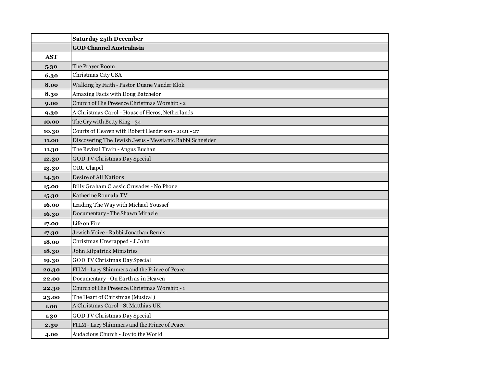|            | <b>Saturday 25th December</b>                            |
|------------|----------------------------------------------------------|
|            | <b>GOD Channel Australasia</b>                           |
| <b>AST</b> |                                                          |
| 5.30       | The Prayer Room                                          |
| 6.30       | Christmas City USA                                       |
| 8.00       | Walking by Faith - Pastor Duane Vander Klok              |
| 8.30       | Amazing Facts with Doug Batchelor                        |
| 9.00       | Church of His Presence Christmas Worship - 2             |
| 9.30       | A Christmas Carol - House of Heros, Netherlands          |
| 10.00      | The Cry with Betty King - 34                             |
| 10.30      | Courts of Heaven with Robert Henderson - 2021 - 27       |
| 11.00      | Discovering The Jewish Jesus - Messianic Rabbi Schneider |
| 11.30      | The Revival Train - Angus Buchan                         |
| 12.30      | <b>GOD TV Christmas Day Special</b>                      |
| 13.30      | ORU Chapel                                               |
| 14.30      | Desire of All Nations                                    |
| 15.00      | Billy Graham Classic Crusades - No Phone                 |
| 15.30      | Katherine Rounala TV                                     |
| 16.00      | Leading The Way with Michael Youssef                     |
| 16.30      | Documentary - The Shawn Miracle                          |
| 17.00      | Life on Fire                                             |
| 17.30      | Jewish Voice - Rabbi Jonathan Bernis                     |
| 18.00      | Christmas Unwrapped - J John                             |
| 18.30      | John Kilpatrick Ministries                               |
| 19.30      | GOD TV Christmas Day Special                             |
| 20.30      | FILM - Lucy Shimmers and the Prince of Peace             |
| 22.00      | Documentary - On Earth as in Heaven                      |
| 22.30      | Church of His Presence Christmas Worship - 1             |
| 23.00      | The Heart of Chirstmas (Musical)                         |
| 1.00       | A Christmas Carol - St Matthias UK                       |
| 1.30       | GOD TV Christmas Day Special                             |
| 2.30       | FILM - Lucy Shimmers and the Prince of Peace             |
| 4.00       | Audacious Church - Joy to the World                      |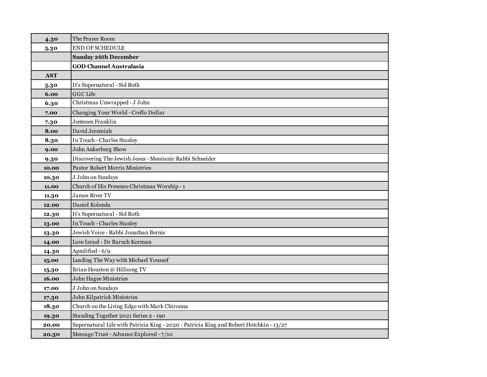| 4.30       | The Prayer Room                                                                         |
|------------|-----------------------------------------------------------------------------------------|
| 5.30       | <b>END OF SCHEDULE</b>                                                                  |
|            | <b>Sunday 26th December</b>                                                             |
|            | <b>GOD Channel Australasia</b>                                                          |
| <b>AST</b> |                                                                                         |
| 5.30       | It's Supernatural - Sid Roth                                                            |
| 6.00       | <b>GGC</b> Life                                                                         |
| 6.30       | Christmas Unwrapped - J John                                                            |
| 7.00       | Changing Your World - Creflo Dollar                                                     |
| 7.30       | Jentezen Franklin                                                                       |
| 8.00       | David Jeremiah                                                                          |
| 8.30       | In Touch - Charles Stanley                                                              |
| 9.00       | John Ankerberg Show                                                                     |
| 9.30       | Discovering The Jewish Jesus - Messianic Rabbi Schneider                                |
| 10.00      | <b>Pastor Robert Morris Ministries</b>                                                  |
| 10.30      | J John on Sundays                                                                       |
| 11.00      | Church of His Presence Christmas Worship - 1                                            |
| 11.30      | <b>James River TV</b>                                                                   |
| 12.00      | Daniel Kolenda                                                                          |
| 12.30      | It's Supernatural - Sid Roth                                                            |
| 13.00      | In Touch - Charles Stanley                                                              |
| 13.30      | Jewish Voice - Rabbi Jonathan Bernis                                                    |
| 14.00      | Love Israel - Dr Baruch Korman                                                          |
| 14.30      | Apmlified - 6/9                                                                         |
| 15.00      | Leading The Way with Michael Youssef                                                    |
| 15.30      | Brian Houston @ Hillsong TV                                                             |
| 16.00      | <b>John Hagee Ministries</b>                                                            |
| 17.00      | J John on Sundays                                                                       |
| 17.30      | John Kilpatrick Ministries                                                              |
| 18.30      | Church on the Living Edge with Mark Chironna                                            |
| 19.30      | Standing Together 2021 Series 2 - 190                                                   |
| 20.00      | Supernatural Life with Patricia King - 2020 - Patricia King and Robert Hotchkin - 13/27 |
| 20.30      | Message Trust - Advance Explored - 7/10                                                 |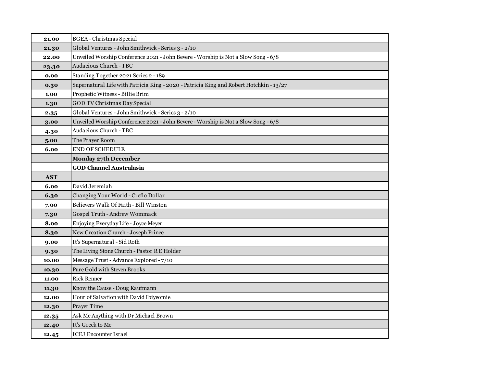| 21.00      | <b>BGEA</b> - Christmas Special                                                         |
|------------|-----------------------------------------------------------------------------------------|
| 21.30      | Global Ventures - John Smithwick - Series 3 - 2/10                                      |
| 22.00      | Unveiled Worship Conference 2021 - John Bevere - Worship is Not a Slow Song - 6/8       |
| 23.30      | <b>Audacious Church - TBC</b>                                                           |
| 0.00       | Standing Together 2021 Series 2 - 189                                                   |
| 0.30       | Supernatural Life with Patricia King - 2020 - Patricia King and Robert Hotchkin - 13/27 |
| 1.00       | Prophetic Witness - Billie Brim                                                         |
| 1.30       | <b>GOD TV Christmas Day Special</b>                                                     |
| 2.35       | Global Ventures - John Smithwick - Series 3 - 2/10                                      |
| 3.00       | Unveiled Worship Conference 2021 - John Bevere - Worship is Not a Slow Song - 6/8       |
| 4.30       | <b>Audacious Church - TBC</b>                                                           |
| 5.00       | The Prayer Room                                                                         |
| 6.00       | <b>END OF SCHEDULE</b>                                                                  |
|            | <b>Monday 27th December</b>                                                             |
|            | <b>GOD Channel Australasia</b>                                                          |
| <b>AST</b> |                                                                                         |
| 6.00       | David Jeremiah                                                                          |
| 6.30       | Changing Your World - Creflo Dollar                                                     |
| 7.00       | Believers Walk Of Faith - Bill Winston                                                  |
| 7.30       | <b>Gospel Truth - Andrew Wommack</b>                                                    |
| 8.00       | Enjoying Everyday Life - Joyce Meyer                                                    |
| 8.30       | New Creation Church - Joseph Prince                                                     |
| 9.00       | It's Supernatural - Sid Roth                                                            |
| 9.30       | The Living Stone Church - Pastor R E Holder                                             |
| 10.00      | Message Trust - Advance Explored - 7/10                                                 |
| 10.30      | Pure Gold with Steven Brooks                                                            |
| 11.00      | <b>Rick Renner</b>                                                                      |
| 11.30      | Know the Cause - Doug Kaufmann                                                          |
| 12.00      | Hour of Salvation with David Ibiyeomie                                                  |
| 12.30      | Prayer Time                                                                             |
| 12.35      | Ask Me Anything with Dr Michael Brown                                                   |
| 12.40      | It's Greek to Me                                                                        |
| 12.45      | <b>ICEJ</b> Encounter Israel                                                            |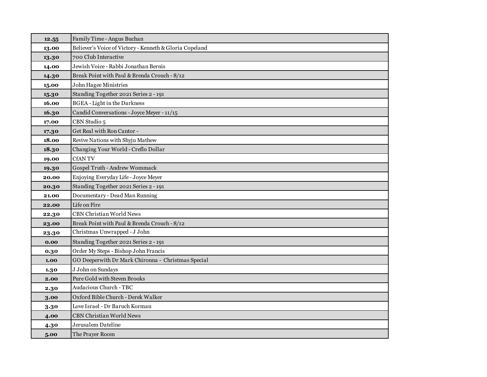| 12.55 | Family Time - Angus Buchan                              |
|-------|---------------------------------------------------------|
| 13.00 | Believer's Voice of Victory - Kenneth & Gloria Copeland |
| 13.30 | 700 Club Interactive                                    |
| 14.00 | Jewish Voice - Rabbi Jonathan Bernis                    |
| 14.30 | Break Point with Paul & Brenda Crouch - 8/12            |
| 15.00 | John Hagee Ministries                                   |
| 15.30 | Standing Together 2021 Series 2 - 191                   |
| 16.00 | <b>BGEA</b> - Light in the Darkness                     |
| 16.30 | Candid Conversations - Joyce Meyer - 11/15              |
| 17.00 | CBN Studio 5                                            |
| 17.30 | Get Real with Ron Cantor -                              |
| 18.00 | Revive Nations with Shyju Mathew                        |
| 18.30 | Changing Your World - Creflo Dollar                     |
| 19.00 | <b>CfANTV</b>                                           |
| 19.30 | Gospel Truth - Andrew Wommack                           |
| 20.00 | Enjoying Everyday Life - Joyce Meyer                    |
| 20.30 | Standing Together 2021 Series 2 - 191                   |
| 21.00 | Documentary - Dead Man Running                          |
| 22.00 | Life on Fire                                            |
| 22.30 | <b>CBN Christian World News</b>                         |
| 23.00 | Break Point with Paul & Brenda Crouch - 8/12            |
| 23.30 | Christmas Unwrapped - J John                            |
| 0.00  | Standing Together 2021 Series 2 - 191                   |
| 0.30  | Order My Steps - Bishop John Francis                    |
| 1.00  | GO Deeperwith Dr Mark Chironna - Christmas Special      |
| 1.30  | J John on Sundays                                       |
| 2.00  | Pure Gold with Steven Brooks                            |
| 2.30  | <b>Audacious Church - TBC</b>                           |
| 3.00  | Oxford Bible Church - Derek Walker                      |
| 3.30  | Love Israel - Dr Baruch Korman                          |
| 4.00  | <b>CBN Christian World News</b>                         |
| 4.30  | Jerusalem Dateline                                      |
| 5.00  | The Prayer Room                                         |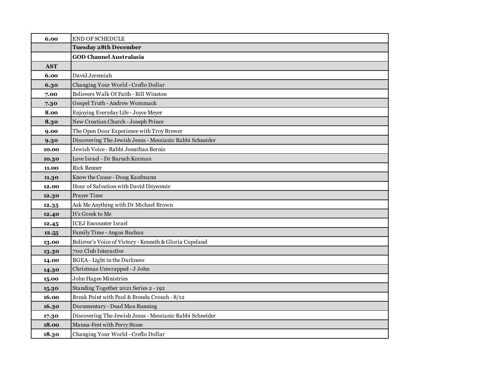| 6.00       | <b>END OF SCHEDULE</b>                                   |
|------------|----------------------------------------------------------|
|            | <b>Tuesday 28th December</b>                             |
|            | <b>GOD Channel Australasia</b>                           |
| <b>AST</b> |                                                          |
| 6.00       | David Jeremiah                                           |
| 6.30       | Changing Your World - Creflo Dollar                      |
| 7.00       | Believers Walk Of Faith - Bill Winston                   |
| 7.30       | Gospel Truth - Andrew Wommack                            |
| 8.00       | Enjoying Everyday Life - Joyce Meyer                     |
| 8.30       | New Creation Church - Joseph Prince                      |
| 9.00       | The Open Door Experience with Troy Brewer                |
| 9.30       | Discovering The Jewish Jesus - Messianic Rabbi Schneider |
| 10.00      | Jewish Voice - Rabbi Jonathan Bernis                     |
| 10.30      | Love Israel - Dr Baruch Korman                           |
| 11.00      | <b>Rick Renner</b>                                       |
| 11.30      | Know the Cause - Doug Kaufmann                           |
| 12.00      | Hour of Salvation with David Ibiyeomie                   |
| 12.30      | Prayer Time                                              |
| 12.35      | Ask Me Anything with Dr Michael Brown                    |
| 12.40      | It's Greek to Me                                         |
| 12.45      | <b>ICEJ Encounter Israel</b>                             |
| 12.55      | Family Time - Angus Buchan                               |
| 13.00      | Believer's Voice of Victory - Kenneth & Gloria Copeland  |
| 13.30      | 700 Club Interactive                                     |
| 14.00      | <b>BGEA</b> - Light in the Darkness                      |
| 14.30      | Christmas Unwrapped - J John                             |
| 15.00      | John Hagee Ministries                                    |
| 15.30      | Standing Together 2021 Series 2 - 192                    |
| 16.00      | Break Point with Paul & Brenda Crouch - 8/12             |
| 16.30      | Documentary - Dead Man Running                           |
| 17.30      | Discovering The Jewish Jesus - Messianic Rabbi Schneider |
| 18.00      | Manna-Fest with Perry Stone                              |
| 18.30      | Changing Your World - Creflo Dollar                      |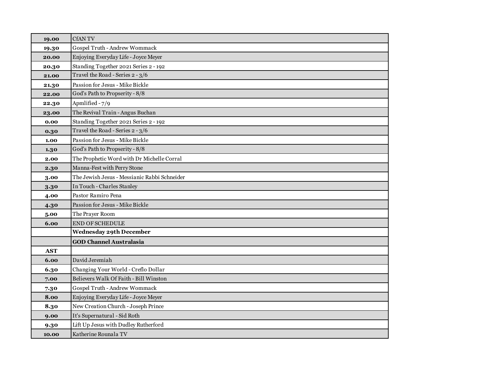| 19.00 | <b>CfANTV</b>                                |
|-------|----------------------------------------------|
| 19.30 | Gospel Truth - Andrew Wommack                |
| 20.00 | Enjoying Everyday Life - Joyce Meyer         |
| 20.30 | Standing Together 2021 Series 2 - 192        |
| 21.00 | Travel the Road - Series 2 - 3/6             |
| 21.30 | Passion for Jesus - Mike Bickle              |
| 22.00 | God's Path to Propserity - 8/8               |
| 22.30 | Apmlified - 7/9                              |
| 23.00 | The Revival Train - Angus Buchan             |
| 0.00  | Standing Together 2021 Series 2 - 192        |
| 0.30  | Travel the Road - Series 2 - 3/6             |
| 1.00  | Passion for Jesus - Mike Bickle              |
| 1.30  | God's Path to Propserity - 8/8               |
| 2.00  | The Prophetic Word with Dr Michelle Corral   |
| 2.30  | Manna-Fest with Perry Stone                  |
| 3.00  | The Jewish Jesus - Messianic Rabbi Schneider |
| 3.30  | In Touch - Charles Stanley                   |
| 4.00  | Pastor Ramiro Pena                           |
| 4.30  | Passion for Jesus - Mike Bickle              |
| 5.00  | The Prayer Room                              |
| 6.00  | END OF SCHEDULE                              |
|       | <b>Wednesday 29th December</b>               |
|       | <b>GOD Channel Australasia</b>               |
| AST   |                                              |
| 6.00  | David Jeremiah                               |
| 6.30  | Changing Your World - Creflo Dollar          |
| 7.00  | Believers Walk Of Faith - Bill Winston       |
| 7.30  | Gospel Truth - Andrew Wommack                |
| 8.00  | Enjoying Everyday Life - Joyce Meyer         |
| 8.30  | New Creation Church - Joseph Prince          |
| 9.00  | It's Supernatural - Sid Roth                 |
| 9.30  | Lift Up Jesus with Dudley Rutherford         |
| 10.00 | Katherine Rounala TV                         |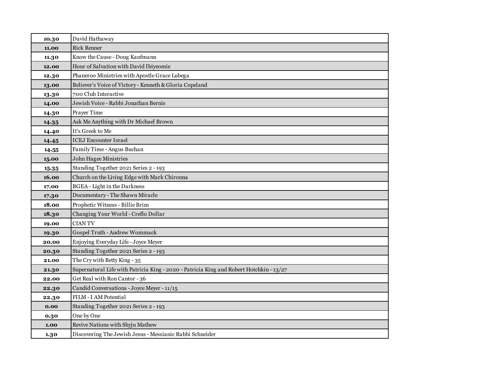| 10.30 | David Hathaway                                                                          |
|-------|-----------------------------------------------------------------------------------------|
| 11.00 | <b>Rick Renner</b>                                                                      |
| 11.30 | Know the Cause - Doug Kaufmann                                                          |
| 12.00 | Hour of Salvation with David Ibiyeomie                                                  |
| 12.30 | Phaneroo Ministries with Apostle Grace Lubega                                           |
| 13.00 | Believer's Voice of Victory - Kenneth & Gloria Copeland                                 |
| 13.30 | 700 Club Interactive                                                                    |
| 14.00 | Jewish Voice - Rabbi Jonathan Bernis                                                    |
| 14.30 | <b>Prayer Time</b>                                                                      |
| 14.35 | Ask Me Anything with Dr Michael Brown                                                   |
| 14.40 | It's Greek to Me                                                                        |
| 14.45 | <b>ICEJ Encounter Israel</b>                                                            |
| 14.55 | Family Time - Angus Buchan                                                              |
| 15.00 | John Hagee Ministries                                                                   |
| 15.35 | Standing Together 2021 Series 2 - 193                                                   |
| 16.00 | Church on the Living Edge with Mark Chironna                                            |
| 17.00 | <b>BGEA</b> - Light in the Darkness                                                     |
| 17.30 | Documentary - The Shawn Miracle                                                         |
| 18.00 | Prophetic Witness - Billie Brim                                                         |
| 18.30 | Changing Your World - Creflo Dollar                                                     |
| 19.00 | <b>CfANTV</b>                                                                           |
| 19.30 | Gospel Truth - Andrew Wommack                                                           |
| 20.00 | Enjoying Everyday Life - Joyce Meyer                                                    |
| 20.30 | Standing Together 2021 Series 2 - 193                                                   |
| 21.00 | The Cry with Betty King - 35                                                            |
| 21.30 | Supernatural Life with Patricia King - 2020 - Patricia King and Robert Hotchkin - 13/27 |
| 22.00 | Get Real with Ron Cantor - 36                                                           |
| 22.30 | Candid Conversations - Joyce Meyer - 11/15                                              |
| 22.30 | FILM - I AM Potential                                                                   |
| 0.00  | Standing Together 2021 Series 2 - 193                                                   |
| 0.30  | One by One                                                                              |
| 1.00  | Revive Nations with Shyju Mathew                                                        |
| 1.30  | Discovering The Jewish Jesus - Messianic Rabbi Schneider                                |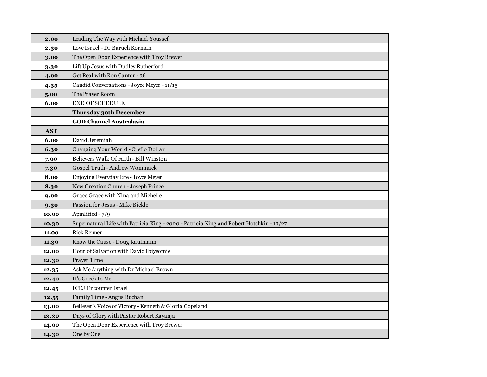| 2.00       | Leading The Way with Michael Youssef                                                    |
|------------|-----------------------------------------------------------------------------------------|
| 2.30       | Love Israel - Dr Baruch Korman                                                          |
| 3.00       | The Open Door Experience with Troy Brewer                                               |
| 3.30       | Lift Up Jesus with Dudley Rutherford                                                    |
| 4.00       | Get Real with Ron Cantor - 36                                                           |
| 4.35       | Candid Conversations - Joyce Meyer - 11/15                                              |
| 5.00       | The Prayer Room                                                                         |
| 6.00       | <b>END OF SCHEDULE</b>                                                                  |
|            | <b>Thursday 30th December</b>                                                           |
|            | <b>GOD Channel Australasia</b>                                                          |
| <b>AST</b> |                                                                                         |
| 6.00       | David Jeremiah                                                                          |
| 6.30       | Changing Your World - Creflo Dollar                                                     |
| 7.00       | Believers Walk Of Faith - Bill Winston                                                  |
| 7.30       | Gospel Truth - Andrew Wommack                                                           |
| 8.00       | Enjoying Everyday Life - Joyce Meyer                                                    |
| 8.30       | New Creation Church - Joseph Prince                                                     |
| 9.00       | Grace Grace with Nina and Michelle                                                      |
| 9.30       | Passion for Jesus - Mike Bickle                                                         |
| 10.00      | Apmlified - 7/9                                                                         |
| 10.30      | Supernatural Life with Patricia King - 2020 - Patricia King and Robert Hotchkin - 13/27 |
| 11.00      | <b>Rick Renner</b>                                                                      |
| 11.30      | Know the Cause - Doug Kaufmann                                                          |
| 12.00      | Hour of Salvation with David Ibiyeomie                                                  |
| 12.30      | Prayer Time                                                                             |
| 12.35      | Ask Me Anything with Dr Michael Brown                                                   |
| 12.40      | It's Greek to Me                                                                        |
| 12.45      | <b>ICEJ Encounter Israel</b>                                                            |
| 12.55      | Family Time - Angus Buchan                                                              |
| 13.00      | Believer's Voice of Victory - Kenneth & Gloria Copeland                                 |
| 13.30      | Days of Glory with Pastor Robert Kayanja                                                |
| 14.00      | The Open Door Experience with Troy Brewer                                               |
| 14.30      | One by One                                                                              |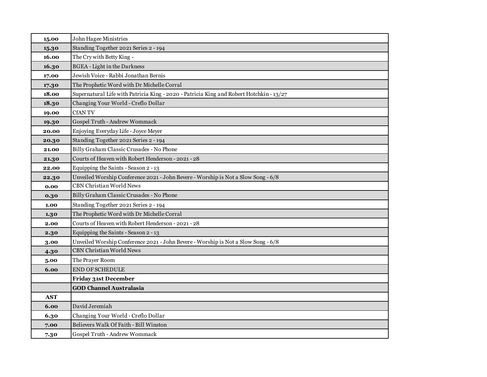| 15.00      | John Hagee Ministries                                                                   |
|------------|-----------------------------------------------------------------------------------------|
| 15.30      | Standing Together 2021 Series 2 - 194                                                   |
| 16.00      | The Cry with Betty King -                                                               |
| 16.30      | <b>BGEA</b> - Light in the Darkness                                                     |
| 17.00      | Jewish Voice - Rabbi Jonathan Bernis                                                    |
| 17.30      | The Prophetic Word with Dr Michelle Corral                                              |
| 18.00      | Supernatural Life with Patricia King - 2020 - Patricia King and Robert Hotchkin - 13/27 |
| 18.30      | Changing Your World - Creflo Dollar                                                     |
| 19.00      | <b>CfANTV</b>                                                                           |
| 19.30      | Gospel Truth - Andrew Wommack                                                           |
| 20.00      | Enjoying Everyday Life - Joyce Meyer                                                    |
| 20.30      | Standing Together 2021 Series 2 - 194                                                   |
| 21.00      | Billy Graham Classic Crusades - No Phone                                                |
| 21.30      | Courts of Heaven with Robert Henderson - 2021 - 28                                      |
| 22.00      | Equipping the Saints - Season 2 - 13                                                    |
| 22.30      | Unveiled Worship Conference 2021 - John Bevere - Worship is Not a Slow Song - 6/8       |
| 0.00       | <b>CBN Christian World News</b>                                                         |
| 0.30       | Billy Graham Classic Crusades - No Phone                                                |
| 1.00       | Standing Together 2021 Series 2 - 194                                                   |
| 1.30       | The Prophetic Word with Dr Michelle Corral                                              |
| 2.00       | Courts of Heaven with Robert Henderson - 2021 - 28                                      |
| 2.30       | Equipping the Saints - Season 2 - 13                                                    |
| 3.00       | Unveiled Worship Conference 2021 - John Bevere - Worship is Not a Slow Song - 6/8       |
| 4.30       | <b>CBN Christian World News</b>                                                         |
| 5.00       | The Prayer Room                                                                         |
| 6.00       | <b>END OF SCHEDULE</b>                                                                  |
|            | <b>Friday 31st December</b>                                                             |
|            | <b>GOD Channel Australasia</b>                                                          |
| <b>AST</b> |                                                                                         |
| 6.00       | David Jeremiah                                                                          |
| 6.30       | Changing Your World - Creflo Dollar                                                     |
| 7.00       | Believers Walk Of Faith - Bill Winston                                                  |
| 7.30       | Gospel Truth - Andrew Wommack                                                           |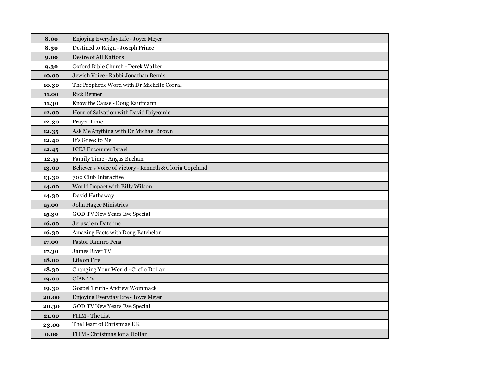| 8.00  | Enjoying Everyday Life - Joyce Meyer                    |
|-------|---------------------------------------------------------|
| 8.30  | Destined to Reign - Joseph Prince                       |
| 9.00  | Desire of All Nations                                   |
| 9.30  | Oxford Bible Church - Derek Walker                      |
| 10.00 | Jewish Voice - Rabbi Jonathan Bernis                    |
| 10.30 | The Prophetic Word with Dr Michelle Corral              |
| 11.00 | <b>Rick Renner</b>                                      |
| 11.30 | Know the Cause - Doug Kaufmann                          |
| 12.00 | Hour of Salvation with David Ibiyeomie                  |
| 12.30 | Prayer Time                                             |
| 12.35 | Ask Me Anything with Dr Michael Brown                   |
| 12.40 | It's Greek to Me                                        |
| 12.45 | <b>ICEJ Encounter Israel</b>                            |
| 12.55 | Family Time - Angus Buchan                              |
| 13.00 | Believer's Voice of Victory - Kenneth & Gloria Copeland |
| 13.30 | 700 Club Interactive                                    |
| 14.00 | World Impact with Billy Wilson                          |
| 14.30 | David Hathaway                                          |
| 15.00 | John Hagee Ministries                                   |
| 15.30 | <b>GOD TV New Years Eve Special</b>                     |
| 16.00 | Jerusalem Dateline                                      |
| 16.30 | Amazing Facts with Doug Batchelor                       |
| 17.00 | Pastor Ramiro Pena                                      |
| 17.30 | <b>James River TV</b>                                   |
| 18.00 | Life on Fire                                            |
| 18.30 | Changing Your World - Creflo Dollar                     |
| 19.00 | <b>CfANTV</b>                                           |
| 19.30 | Gospel Truth - Andrew Wommack                           |
| 20.00 | Enjoying Everyday Life - Joyce Meyer                    |
| 20.30 | <b>GOD TV New Years Eve Special</b>                     |
| 21.00 | FILM - The List                                         |
| 23.00 | The Heart of Christmas UK                               |
| 0.00  | FILM - Christmas for a Dollar                           |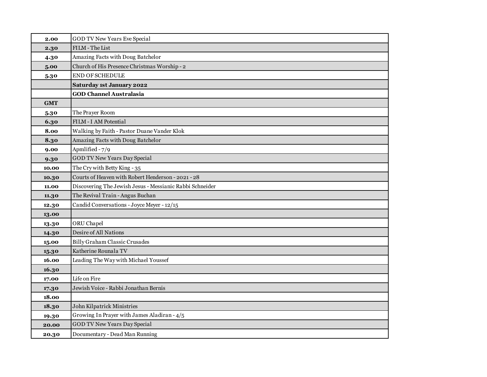| 2.00       | GOD TV New Years Eve Special                             |
|------------|----------------------------------------------------------|
| 2.30       | FILM - The List                                          |
| 4.30       | Amazing Facts with Doug Batchelor                        |
| 5.00       | Church of His Presence Christmas Worship - 2             |
| 5.30       | END OF SCHEDULE                                          |
|            | Saturday 1st January 2022                                |
|            | <b>GOD Channel Australasia</b>                           |
| <b>GMT</b> |                                                          |
| 5.30       | The Prayer Room                                          |
| 6.30       | FILM - I AM Potential                                    |
| 8.00       | Walking by Faith - Pastor Duane Vander Klok              |
| 8.30       | Amazing Facts with Doug Batchelor                        |
| 9.00       | Apmlified - 7/9                                          |
| 9.30       | <b>GOD TV New Years Day Special</b>                      |
| 10.00      | The Cry with Betty King - 35                             |
| 10.30      | Courts of Heaven with Robert Henderson - 2021 - 28       |
| 11.00      | Discovering The Jewish Jesus - Messianic Rabbi Schneider |
| 11.30      | The Revival Train - Angus Buchan                         |
| 12.30      | Candid Conversations - Joyce Meyer - 12/15               |
| 13.00      |                                                          |
| 13.30      | ORU Chapel                                               |
| 14.30      | Desire of All Nations                                    |
| 15.00      | Billy Graham Classic Crusades                            |
| 15.30      | Katherine Rounala TV                                     |
| 16.00      | Leading The Way with Michael Youssef                     |
| 16.30      |                                                          |
| 17.00      | Life on Fire                                             |
| 17.30      | Jewish Voice - Rabbi Jonathan Bernis                     |
| 18.00      |                                                          |
| 18.30      | John Kilpatrick Ministries                               |
| 19.30      | Growing In Prayer with James Aladiran - 4/5              |
| 20.00      | <b>GOD TV New Years Day Special</b>                      |
| 20.30      | Documentary - Dead Man Running                           |